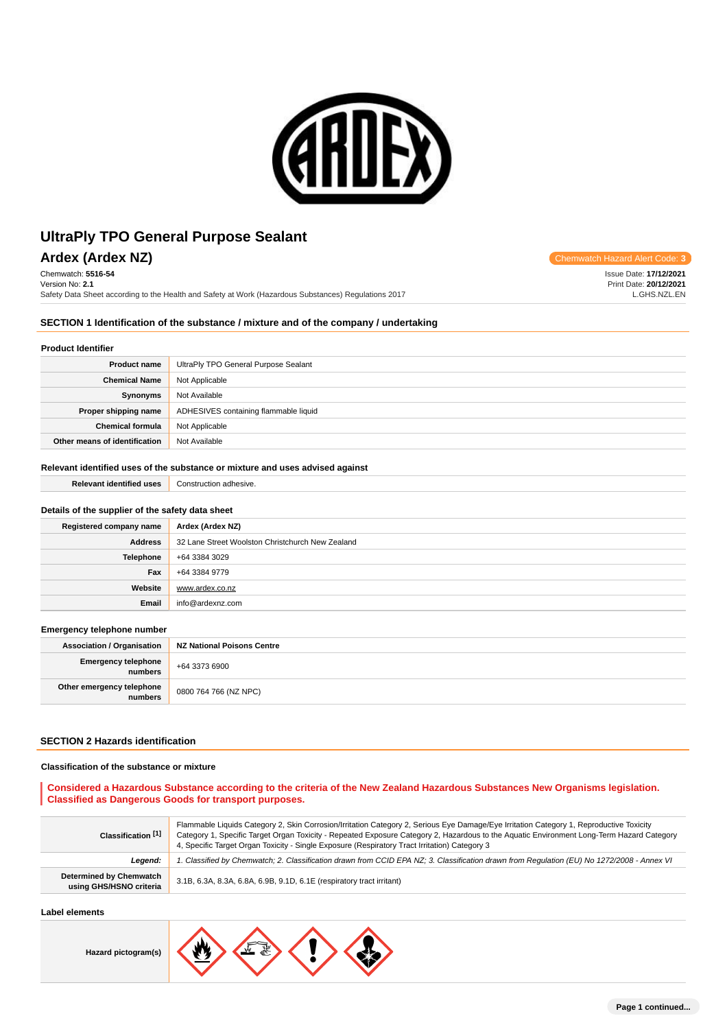

**Ardex (Ardex NZ) Chemwatch Hazard Alert Code: 3** Chemwatch: **5516-54**

Version No: **2.1** Safety Data Sheet according to the Health and Safety at Work (Hazardous Substances) Regulations 2017

Issue Date: **17/12/2021** Print Date: **20/12/2021** L.GHS.NZL.EN

#### **SECTION 1 Identification of the substance / mixture and of the company / undertaking**

## **Product Identifier**

| <b>Product name</b>           | UltraPly TPO General Purpose Sealant  |
|-------------------------------|---------------------------------------|
| <b>Chemical Name</b>          | Not Applicable                        |
| Synonyms                      | Not Available                         |
| Proper shipping name          | ADHESIVES containing flammable liquid |
| <b>Chemical formula</b>       | Not Applicable                        |
| Other means of identification | Not Available                         |

#### **Relevant identified uses of the substance or mixture and uses advised against**

| <b>Relevant identified uses</b>                  | Construction adhesive.                           |  |
|--------------------------------------------------|--------------------------------------------------|--|
|                                                  |                                                  |  |
| Details of the supplier of the safety data sheet |                                                  |  |
| Registered company name                          | Ardex (Ardex NZ)                                 |  |
| <b>Address</b>                                   | 32 Lane Street Woolston Christchurch New Zealand |  |
| Telephone                                        | +64 3384 3029                                    |  |
| Fax                                              | +64 3384 9779                                    |  |
| Website                                          | www.ardex.co.nz                                  |  |
| Email                                            | info@ardexnz.com                                 |  |
|                                                  |                                                  |  |
| Emergency telephone number                       |                                                  |  |
| <b>Association / Organisation</b>                | <b>NZ National Poisons Centre</b>                |  |

| Association / Organisation           | NZ NATIONAL POISONS CENTE |
|--------------------------------------|---------------------------|
| Emergency telephone<br>numbers       | +64 3373 6900             |
| Other emergency telephone<br>numbers | 0800 764 766 (NZ NPC)     |

#### **SECTION 2 Hazards identification**

#### **Classification of the substance or mixture**

#### **Considered a Hazardous Substance according to the criteria of the New Zealand Hazardous Substances New Organisms legislation. Classified as Dangerous Goods for transport purposes.**

| Classification [1]                                        | Flammable Liquids Category 2, Skin Corrosion/Irritation Category 2, Serious Eye Damage/Eye Irritation Category 1, Reproductive Toxicity<br>Category 1, Specific Target Organ Toxicity - Repeated Exposure Category 2, Hazardous to the Aquatic Environment Long-Term Hazard Category<br>4, Specific Target Organ Toxicity - Single Exposure (Respiratory Tract Irritation) Category 3 |
|-----------------------------------------------------------|---------------------------------------------------------------------------------------------------------------------------------------------------------------------------------------------------------------------------------------------------------------------------------------------------------------------------------------------------------------------------------------|
| Leaend:                                                   | 1. Classified by Chemwatch; 2. Classification drawn from CCID EPA NZ; 3. Classification drawn from Regulation (EU) No 1272/2008 - Annex VI                                                                                                                                                                                                                                            |
| <b>Determined by Chemwatch</b><br>using GHS/HSNO criteria | 3.1B, 6.3A, 8.3A, 6.8A, 6.9B, 9.1D, 6.1E (respiratory tract irritant)                                                                                                                                                                                                                                                                                                                 |

#### **Label elements**

**Hazard pictogram(s)**

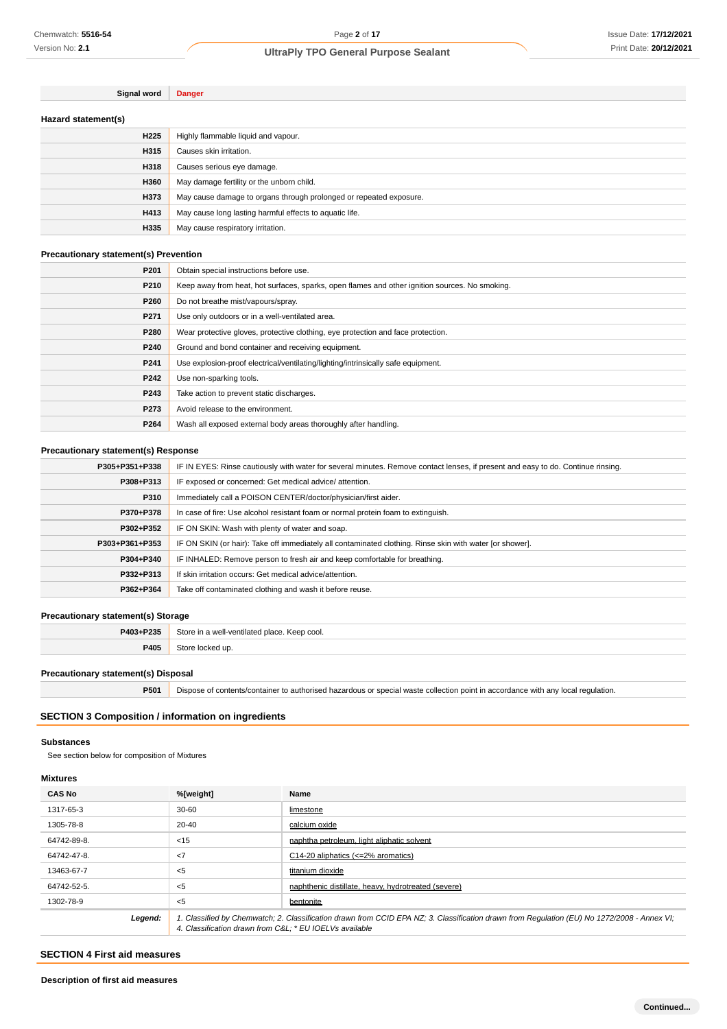| Hazard statement(s) |                                                                    |
|---------------------|--------------------------------------------------------------------|
| H <sub>225</sub>    | Highly flammable liquid and vapour.                                |
| H315                | Causes skin irritation.                                            |
| H318                | Causes serious eye damage.                                         |
| H360                | May damage fertility or the unborn child.                          |
| H373                | May cause damage to organs through prolonged or repeated exposure. |
| H413                | May cause long lasting harmful effects to aquatic life.            |
| H335                | May cause respiratory irritation.                                  |

#### **Precautionary statement(s) Prevention**

**Signal word Danger**

| P <sub>201</sub> | Obtain special instructions before use.                                                        |
|------------------|------------------------------------------------------------------------------------------------|
| P210             | Keep away from heat, hot surfaces, sparks, open flames and other ignition sources. No smoking. |
| P260             | Do not breathe mist/vapours/spray.                                                             |
| P <sub>271</sub> | Use only outdoors or in a well-ventilated area.                                                |
| P280             | Wear protective gloves, protective clothing, eye protection and face protection.               |
| P240             | Ground and bond container and receiving equipment.                                             |
| P241             | Use explosion-proof electrical/ventilating/lighting/intrinsically safe equipment.              |
| P242             | Use non-sparking tools.                                                                        |
| P243             | Take action to prevent static discharges.                                                      |
| P273             | Avoid release to the environment.                                                              |
| P264             | Wash all exposed external body areas thoroughly after handling.                                |

## **Precautionary statement(s) Response**

| P305+P351+P338 | IF IN EYES: Rinse cautiously with water for several minutes. Remove contact lenses, if present and easy to do. Continue rinsing. |  |
|----------------|----------------------------------------------------------------------------------------------------------------------------------|--|
| P308+P313      | IF exposed or concerned: Get medical advice/attention.                                                                           |  |
| P310           | Immediately call a POISON CENTER/doctor/physician/first aider.                                                                   |  |
| P370+P378      | In case of fire: Use alcohol resistant foam or normal protein foam to extinguish.                                                |  |
| P302+P352      | IF ON SKIN: Wash with plenty of water and soap.                                                                                  |  |
| P303+P361+P353 | IF ON SKIN (or hair): Take off immediately all contaminated clothing. Rinse skin with water [or shower].                         |  |
| P304+P340      | IF INHALED: Remove person to fresh air and keep comfortable for breathing.                                                       |  |
| P332+P313      | If skin irritation occurs: Get medical advice/attention.                                                                         |  |
| P362+P364      | Take off contaminated clothing and wash it before reuse.                                                                         |  |

#### **Precautionary statement(s) Storage**

| P403+P235 | Store in a well-ventilated place.<br>. Keep cool. |
|-----------|---------------------------------------------------|
| P405      |                                                   |
|           |                                                   |

## **Precautionary statement(s) Disposal**

**P501** Dispose of contents/container to authorised hazardous or special waste collection point in accordance with any local regulation.

# **SECTION 3 Composition / information on ingredients**

#### **Substances**

See section below for composition of Mixtures

#### **Mixtures**

| <b>CAS No</b> | %[weight]                                              | Name                                                                                                                                        |
|---------------|--------------------------------------------------------|---------------------------------------------------------------------------------------------------------------------------------------------|
| 1317-65-3     | $30 - 60$                                              | limestone                                                                                                                                   |
| 1305-78-8     | $20 - 40$                                              | calcium oxide                                                                                                                               |
| 64742-89-8.   | $<$ 15                                                 | naphtha petroleum. light aliphatic solvent                                                                                                  |
| 64742-47-8.   | $\langle$ 7                                            | $C14-20$ aliphatics $\left(\leq 2\% \right)$ aromatics)                                                                                     |
| 13463-67-7    | $<$ 5                                                  | titanium dioxide                                                                                                                            |
| 64742-52-5.   | $<$ 5                                                  | naphthenic distillate, heavy, hydrotreated (severe)                                                                                         |
| 1302-78-9     | $5$                                                    | bentonite                                                                                                                                   |
| Legend:       | 4. Classification drawn from C&L * EU IOELVs available | 1. Classified by Chemwatch; 2. Classification drawn from CCID EPA NZ; 3. Classification drawn from Requlation (EU) No 1272/2008 - Annex VI; |

## **SECTION 4 First aid measures**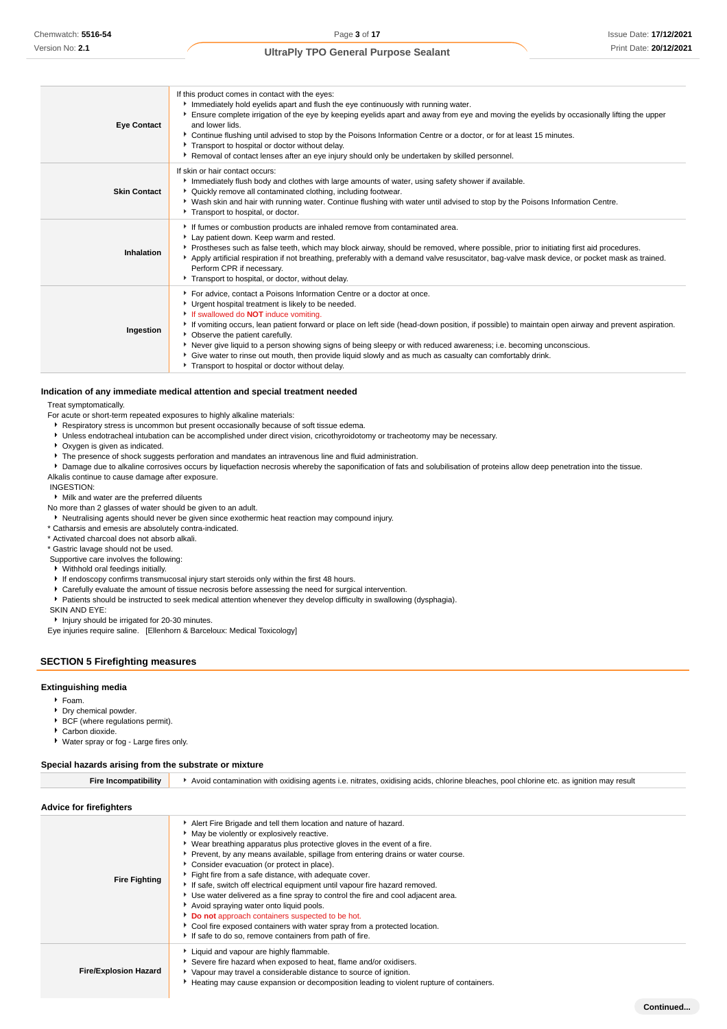| <b>Eye Contact</b>  | If this product comes in contact with the eyes:<br>Immediately hold eyelids apart and flush the eye continuously with running water.<br>Ensure complete irrigation of the eye by keeping eyelids apart and away from eye and moving the eyelids by occasionally lifting the upper<br>and lower lids.<br>▶ Continue flushing until advised to stop by the Poisons Information Centre or a doctor, or for at least 15 minutes.<br>Transport to hospital or doctor without delay.<br>Removal of contact lenses after an eye injury should only be undertaken by skilled personnel.                                                                        |
|---------------------|--------------------------------------------------------------------------------------------------------------------------------------------------------------------------------------------------------------------------------------------------------------------------------------------------------------------------------------------------------------------------------------------------------------------------------------------------------------------------------------------------------------------------------------------------------------------------------------------------------------------------------------------------------|
| <b>Skin Contact</b> | If skin or hair contact occurs:<br>Immediately flush body and clothes with large amounts of water, using safety shower if available.<br>▶ Quickly remove all contaminated clothing, including footwear.<br>▶ Wash skin and hair with running water. Continue flushing with water until advised to stop by the Poisons Information Centre.<br>Transport to hospital, or doctor.                                                                                                                                                                                                                                                                         |
| Inhalation          | If fumes or combustion products are inhaled remove from contaminated area.<br>Lay patient down. Keep warm and rested.<br>▶ Prostheses such as false teeth, which may block airway, should be removed, where possible, prior to initiating first aid procedures.<br>Apply artificial respiration if not breathing, preferably with a demand valve resuscitator, bag-valve mask device, or pocket mask as trained.<br>Perform CPR if necessary.<br>Transport to hospital, or doctor, without delay.                                                                                                                                                      |
| Ingestion           | For advice, contact a Poisons Information Centre or a doctor at once.<br>• Urgent hospital treatment is likely to be needed.<br>If swallowed do <b>NOT</b> induce vomiting.<br>If vomiting occurs, lean patient forward or place on left side (head-down position, if possible) to maintain open airway and prevent aspiration.<br>• Observe the patient carefully.<br>Never give liquid to a person showing signs of being sleepy or with reduced awareness; i.e. becoming unconscious.<br>Give water to rinse out mouth, then provide liquid slowly and as much as casualty can comfortably drink.<br>Transport to hospital or doctor without delay. |

#### **Indication of any immediate medical attention and special treatment needed**

Treat symptomatically.

- For acute or short-term repeated exposures to highly alkaline materials:
	- Respiratory stress is uncommon but present occasionally because of soft tissue edema.
	- Unless endotracheal intubation can be accomplished under direct vision, cricothyroidotomy or tracheotomy may be necessary.
	- Oxygen is given as indicated.
	- The presence of shock suggests perforation and mandates an intravenous line and fluid administration.

**P** Damage due to alkaline corrosives occurs by liquefaction necrosis whereby the saponification of fats and solubilisation of proteins allow deep penetration into the tissue. Alkalis continue to cause damage after exposure.

INGESTION:

Milk and water are the preferred diluents

No more than 2 glasses of water should be given to an adult.

Neutralising agents should never be given since exothermic heat reaction may compound injury.

\* Catharsis and emesis are absolutely contra-indicated.

\* Activated charcoal does not absorb alkali.

\* Gastric lavage should not be used.

Supportive care involves the following:

- Withhold oral feedings initially.
- If endoscopy confirms transmucosal injury start steroids only within the first 48 hours.
- Carefully evaluate the amount of tissue necrosis before assessing the need for surgical intervention.
- Patients should be instructed to seek medical attention whenever they develop difficulty in swallowing (dysphagia).

SKIN AND EYE:

**Injury should be irrigated for 20-30 minutes.** 

Eye injuries require saline. [Ellenhorn & Barceloux: Medical Toxicology]

#### **SECTION 5 Firefighting measures**

#### **Extinguishing media**

- Foam.
- Dry chemical powder.
- **BCF** (where regulations permit).
- Carbon dioxide.

Water spray or fog - Large fires only.

#### **Special hazards arising from the substrate or mixture**

| <b>Fire Incompatibility</b> | Avoid contamination with oxidising agents i.e. nitrates, oxidising acids, chlorine bleaches, pool chlorine etc. as ignition may result                                                                                                                                                                                                                                                                                                                                                                                                                                                                                                                                                                                                                                                       |  |  |
|-----------------------------|----------------------------------------------------------------------------------------------------------------------------------------------------------------------------------------------------------------------------------------------------------------------------------------------------------------------------------------------------------------------------------------------------------------------------------------------------------------------------------------------------------------------------------------------------------------------------------------------------------------------------------------------------------------------------------------------------------------------------------------------------------------------------------------------|--|--|
| Advice for firefighters     |                                                                                                                                                                                                                                                                                                                                                                                                                                                                                                                                                                                                                                                                                                                                                                                              |  |  |
| <b>Fire Fighting</b>        | Alert Fire Brigade and tell them location and nature of hazard.<br>• May be violently or explosively reactive.<br>► Wear breathing apparatus plus protective gloves in the event of a fire.<br>Prevent, by any means available, spillage from entering drains or water course.<br>Consider evacuation (or protect in place).<br>Fight fire from a safe distance, with adequate cover.<br>If safe, switch off electrical equipment until vapour fire hazard removed.<br>► Use water delivered as a fine spray to control the fire and cool adjacent area.<br>Avoid spraying water onto liquid pools.<br>Do not approach containers suspected to be hot.<br>Cool fire exposed containers with water spray from a protected location.<br>If safe to do so, remove containers from path of fire. |  |  |
|                             | Liquid and vapour are highly flammable.                                                                                                                                                                                                                                                                                                                                                                                                                                                                                                                                                                                                                                                                                                                                                      |  |  |

- **Fire/Explosion Hazard** Severe fire hazard when exposed to heat, flame and/or oxidisers. Vapour may travel a considerable distance to source of ignition.
	- Heating may cause expansion or decomposition leading to violent rupture of containers.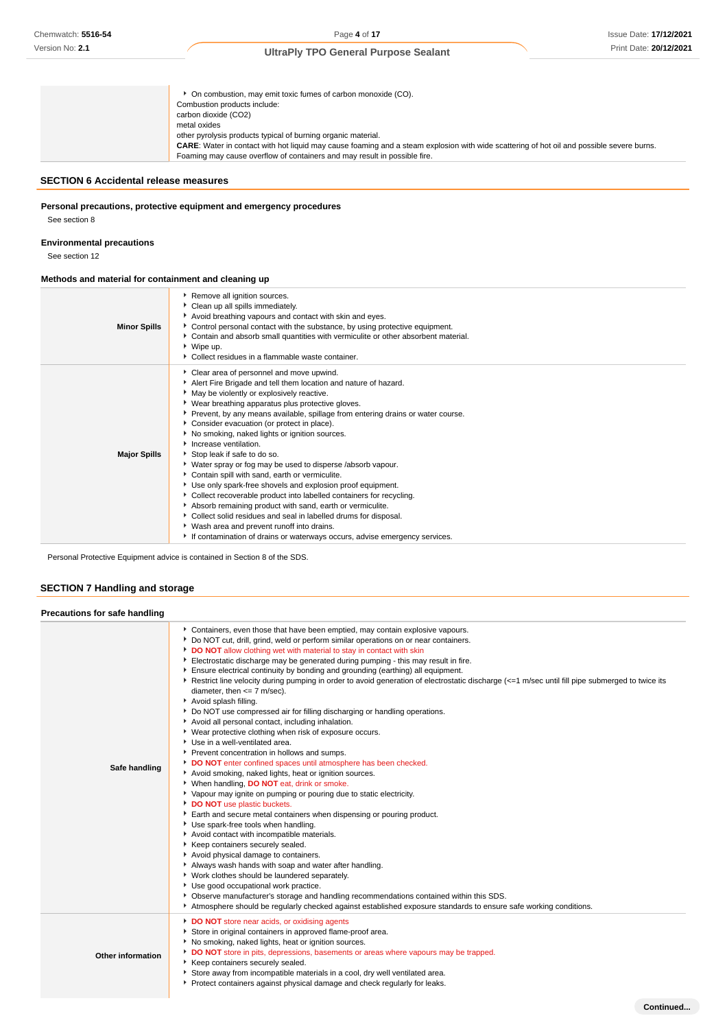**Continued...**

# **UltraPly TPO General Purpose Sealant**

| • On combustion, may emit toxic fumes of carbon monoxide (CO).<br>Combustion products include:<br>carbon dioxide (CO2)                                                                                                                                                                                         |
|----------------------------------------------------------------------------------------------------------------------------------------------------------------------------------------------------------------------------------------------------------------------------------------------------------------|
| metal oxides<br>other pyrolysis products typical of burning organic material.<br><b>CARE:</b> Water in contact with hot liquid may cause foaming and a steam explosion with wide scattering of hot oil and possible severe burns.<br>Foaming may cause overflow of containers and may result in possible fire. |

# **SECTION 6 Accidental release measures**

## **Personal precautions, protective equipment and emergency procedures**

See section 8

#### **Environmental precautions**

See section 12

# **Methods and material for containment and cleaning up**

| <b>Minor Spills</b> | Remove all ignition sources.<br>Clean up all spills immediately.<br>Avoid breathing vapours and contact with skin and eyes.<br>▶ Control personal contact with the substance, by using protective equipment.<br>Contain and absorb small quantities with vermiculite or other absorbent material.<br>▶ Wipe up.<br>Collect residues in a flammable waste container.                                                                                                                                                                                                                                                                                                                                                                                                                                                                                                                                                                                                            |
|---------------------|--------------------------------------------------------------------------------------------------------------------------------------------------------------------------------------------------------------------------------------------------------------------------------------------------------------------------------------------------------------------------------------------------------------------------------------------------------------------------------------------------------------------------------------------------------------------------------------------------------------------------------------------------------------------------------------------------------------------------------------------------------------------------------------------------------------------------------------------------------------------------------------------------------------------------------------------------------------------------------|
| <b>Major Spills</b> | Clear area of personnel and move upwind.<br>Alert Fire Brigade and tell them location and nature of hazard.<br>May be violently or explosively reactive.<br>▶ Wear breathing apparatus plus protective gloves.<br>▶ Prevent, by any means available, spillage from entering drains or water course.<br>Consider evacuation (or protect in place).<br>No smoking, naked lights or ignition sources.<br>Increase ventilation.<br>Stop leak if safe to do so.<br>• Water spray or fog may be used to disperse /absorb vapour.<br>Contain spill with sand, earth or vermiculite.<br>Use only spark-free shovels and explosion proof equipment.<br>Collect recoverable product into labelled containers for recycling.<br>Absorb remaining product with sand, earth or vermiculite.<br>Collect solid residues and seal in labelled drums for disposal.<br>▶ Wash area and prevent runoff into drains.<br>If contamination of drains or waterways occurs, advise emergency services. |

Personal Protective Equipment advice is contained in Section 8 of the SDS.

# **SECTION 7 Handling and storage**

| Precautions for safe handling |                                                                                                                                                                                                                                                                                                                                                                                                                                                                                                                                                                                                                                                                                                                                                                                                                                                                                                                                                                                                                                                                                                                                                                                                                                                                                                                                                                                                                                                                                                                                                                                                                                                                                                                                                                                                                        |
|-------------------------------|------------------------------------------------------------------------------------------------------------------------------------------------------------------------------------------------------------------------------------------------------------------------------------------------------------------------------------------------------------------------------------------------------------------------------------------------------------------------------------------------------------------------------------------------------------------------------------------------------------------------------------------------------------------------------------------------------------------------------------------------------------------------------------------------------------------------------------------------------------------------------------------------------------------------------------------------------------------------------------------------------------------------------------------------------------------------------------------------------------------------------------------------------------------------------------------------------------------------------------------------------------------------------------------------------------------------------------------------------------------------------------------------------------------------------------------------------------------------------------------------------------------------------------------------------------------------------------------------------------------------------------------------------------------------------------------------------------------------------------------------------------------------------------------------------------------------|
| Safe handling                 | Containers, even those that have been emptied, may contain explosive vapours.<br>• Do NOT cut, drill, grind, weld or perform similar operations on or near containers.<br>DO NOT allow clothing wet with material to stay in contact with skin<br>Electrostatic discharge may be generated during pumping - this may result in fire.<br>Ensure electrical continuity by bonding and grounding (earthing) all equipment.<br>Restrict line velocity during pumping in order to avoid generation of electrostatic discharge (<=1 m/sec until fill pipe submerged to twice its<br>diameter, then $\leq$ 7 m/sec).<br>Avoid splash filling.<br>▶ Do NOT use compressed air for filling discharging or handling operations.<br>Avoid all personal contact, including inhalation.<br>• Wear protective clothing when risk of exposure occurs.<br>Use in a well-ventilated area.<br>Prevent concentration in hollows and sumps.<br>DO NOT enter confined spaces until atmosphere has been checked.<br>Avoid smoking, naked lights, heat or ignition sources.<br>▶ When handling, DO NOT eat, drink or smoke.<br>▶ Vapour may ignite on pumping or pouring due to static electricity.<br>DO NOT use plastic buckets.<br>Earth and secure metal containers when dispensing or pouring product.<br>Use spark-free tools when handling.<br>Avoid contact with incompatible materials.<br>Keep containers securely sealed.<br>Avoid physical damage to containers.<br>Always wash hands with soap and water after handling.<br>Vork clothes should be laundered separately.<br>Use good occupational work practice.<br>▶ Observe manufacturer's storage and handling recommendations contained within this SDS.<br>Atmosphere should be regularly checked against established exposure standards to ensure safe working conditions. |
| Other information             | DO NOT store near acids, or oxidising agents<br>Store in original containers in approved flame-proof area.<br>No smoking, naked lights, heat or ignition sources.<br>DO NOT store in pits, depressions, basements or areas where vapours may be trapped.<br>Keep containers securely sealed.<br>Store away from incompatible materials in a cool, dry well ventilated area.<br>Protect containers against physical damage and check regularly for leaks.                                                                                                                                                                                                                                                                                                                                                                                                                                                                                                                                                                                                                                                                                                                                                                                                                                                                                                                                                                                                                                                                                                                                                                                                                                                                                                                                                               |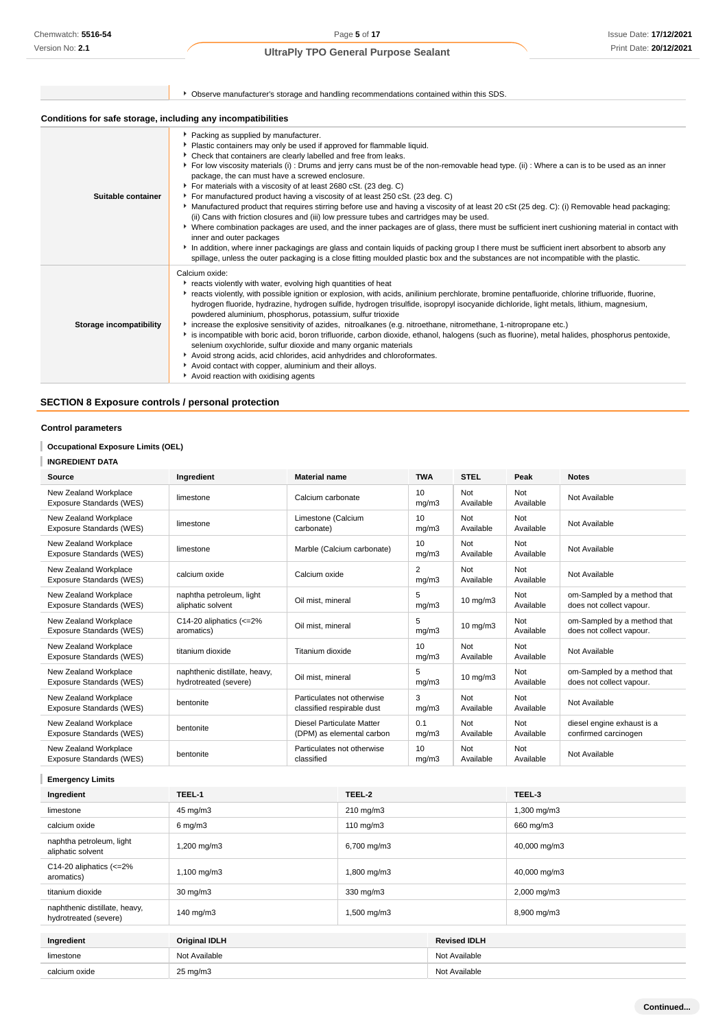|                                                              | ▶ Observe manufacturer's storage and handling recommendations contained within this SDS.                                                                                                                                                                                                                                                                                                                                                                                                                                                                                                                                                                                                                                                                                                                                                                                                                                                                                                                                                                                                                                                                                                                                                                         |  |  |
|--------------------------------------------------------------|------------------------------------------------------------------------------------------------------------------------------------------------------------------------------------------------------------------------------------------------------------------------------------------------------------------------------------------------------------------------------------------------------------------------------------------------------------------------------------------------------------------------------------------------------------------------------------------------------------------------------------------------------------------------------------------------------------------------------------------------------------------------------------------------------------------------------------------------------------------------------------------------------------------------------------------------------------------------------------------------------------------------------------------------------------------------------------------------------------------------------------------------------------------------------------------------------------------------------------------------------------------|--|--|
| Conditions for safe storage, including any incompatibilities |                                                                                                                                                                                                                                                                                                                                                                                                                                                                                                                                                                                                                                                                                                                                                                                                                                                                                                                                                                                                                                                                                                                                                                                                                                                                  |  |  |
| Suitable container                                           | ▶ Packing as supplied by manufacturer.<br>Plastic containers may only be used if approved for flammable liquid.<br>• Check that containers are clearly labelled and free from leaks.<br>▶ For low viscosity materials (i) : Drums and jerry cans must be of the non-removable head type. (ii) : Where a can is to be used as an inner<br>package, the can must have a screwed enclosure.<br>For materials with a viscosity of at least 2680 cSt. (23 deg. C)<br>For manufactured product having a viscosity of at least 250 cSt. (23 deg. C)<br>▶ Manufactured product that requires stirring before use and having a viscosity of at least 20 cSt (25 deg. C): (i) Removable head packaging;<br>(ii) Cans with friction closures and (iii) low pressure tubes and cartridges may be used.<br>▶ Where combination packages are used, and the inner packages are of glass, there must be sufficient inert cushioning material in contact with<br>inner and outer packages<br>In addition, where inner packagings are glass and contain liquids of packing group I there must be sufficient inert absorbent to absorb any<br>spillage, unless the outer packaging is a close fitting moulded plastic box and the substances are not incompatible with the plastic. |  |  |
| Storage incompatibility                                      | Calcium oxide:<br>reacts violently with water, evolving high quantities of heat<br>• reacts violently, with possible ignition or explosion, with acids, anilinium perchlorate, bromine pentafluoride, chlorine trifluoride, fluorine,<br>hydrogen fluoride, hydrazine, hydrogen sulfide, hydrogen trisulfide, isopropyl isocyanide dichloride, light metals, lithium, magnesium,<br>powdered aluminium, phosphorus, potassium, sulfur trioxide<br>increase the explosive sensitivity of azides, nitroalkanes (e.g. nitroethane, nitromethane, 1-nitropropane etc.)<br>is incompatible with boric acid, boron trifluoride, carbon dioxide, ethanol, halogens (such as fluorine), metal halides, phosphorus pentoxide,<br>selenium oxychloride, sulfur dioxide and many organic materials<br>Avoid strong acids, acid chlorides, acid anhydrides and chloroformates.<br>Avoid contact with copper, aluminium and their alloys.<br>Avoid reaction with oxidising agents                                                                                                                                                                                                                                                                                             |  |  |

# **SECTION 8 Exposure controls / personal protection**

## **Control parameters**

## **Occupational Exposure Limits (OEL)**

# **INGREDIENT DATA**

| Source                                            | Ingredient                                             | <b>Material name</b>                                     | <b>TWA</b>               | <b>STEL</b>       | Peak             | <b>Notes</b>                                            |
|---------------------------------------------------|--------------------------------------------------------|----------------------------------------------------------|--------------------------|-------------------|------------------|---------------------------------------------------------|
| New Zealand Workplace<br>Exposure Standards (WES) | limestone                                              | Calcium carbonate                                        | 10<br>mq/m3              | Not<br>Available  | Not<br>Available | Not Available                                           |
| New Zealand Workplace<br>Exposure Standards (WES) | limestone                                              | Limestone (Calcium<br>carbonate)                         | 10 <sup>1</sup><br>mq/m3 | Not<br>Available  | Not<br>Available | Not Available                                           |
| New Zealand Workplace<br>Exposure Standards (WES) | limestone                                              | Marble (Calcium carbonate)                               | 10<br>mq/m3              | Not<br>Available  | Not<br>Available | Not Available                                           |
| New Zealand Workplace<br>Exposure Standards (WES) | calcium oxide                                          | Calcium oxide                                            | 2<br>mq/m3               | Not<br>Available  | Not<br>Available | Not Available                                           |
| New Zealand Workplace<br>Exposure Standards (WES) | naphtha petroleum, light<br>aliphatic solvent          | Oil mist, mineral                                        | 5<br>mq/m3               | $10 \text{ mg/m}$ | Not<br>Available | om-Sampled by a method that<br>does not collect vapour. |
| New Zealand Workplace<br>Exposure Standards (WES) | C14-20 aliphatics $\left( <=2\right)$ %<br>aromatics)  | Oil mist, mineral                                        | 5<br>mg/m3               | $10$ mg/m $3$     | Not<br>Available | om-Sampled by a method that<br>does not collect vapour. |
| New Zealand Workplace<br>Exposure Standards (WES) | titanium dioxide                                       | Titanium dioxide                                         | 10<br>mq/m3              | Not<br>Available  | Not<br>Available | Not Available                                           |
| New Zealand Workplace<br>Exposure Standards (WES) | naphthenic distillate, heavy,<br>hydrotreated (severe) | Oil mist, mineral                                        | 5<br>mq/m3               | $10 \text{ mg/m}$ | Not<br>Available | om-Sampled by a method that<br>does not collect vapour. |
| New Zealand Workplace<br>Exposure Standards (WES) | bentonite                                              | Particulates not otherwise<br>classified respirable dust | 3<br>mq/m3               | Not<br>Available  | Not<br>Available | Not Available                                           |
| New Zealand Workplace<br>Exposure Standards (WES) | bentonite                                              | Diesel Particulate Matter<br>(DPM) as elemental carbon   | 0.1<br>mq/m3             | Not<br>Available  | Not<br>Available | diesel engine exhaust is a<br>confirmed carcinogen      |
| New Zealand Workplace<br>Exposure Standards (WES) | bentonite                                              | Particulates not otherwise<br>classified                 | 10 <sup>1</sup><br>mg/m3 | Not<br>Available  | Not<br>Available | Not Available                                           |

**Emergency Limits**

| Ingredient                                                              | TEEL-1               | TEEL-2       |                     | TEEL-3       |
|-------------------------------------------------------------------------|----------------------|--------------|---------------------|--------------|
| limestone                                                               | 45 mg/m3             | 210 mg/m3    |                     | 1,300 mg/m3  |
| calcium oxide                                                           | $6 \text{ mg/m}$ 3   | 110 mg/m $3$ |                     | 660 mg/m3    |
| naphtha petroleum, light<br>aliphatic solvent                           | 1,200 mg/m3          | 6,700 mg/m3  |                     | 40,000 mg/m3 |
| C14-20 aliphatics $\left  \left  \right  < = 2\% \right $<br>aromatics) | 1,100 mg/m3          | 1,800 mg/m3  |                     | 40,000 mg/m3 |
| titanium dioxide                                                        | 30 mg/m3             | 330 mg/m3    |                     | 2,000 mg/m3  |
| naphthenic distillate, heavy,<br>hydrotreated (severe)                  | 140 mg/m3            | 1,500 mg/m3  |                     | 8,900 mg/m3  |
|                                                                         |                      |              |                     |              |
| Ingredient                                                              | <b>Original IDLH</b> |              | <b>Revised IDLH</b> |              |
| limestone                                                               | Not Available        |              | Not Available       |              |
| calcium oxide                                                           | 25 mg/m3             |              | Not Available       |              |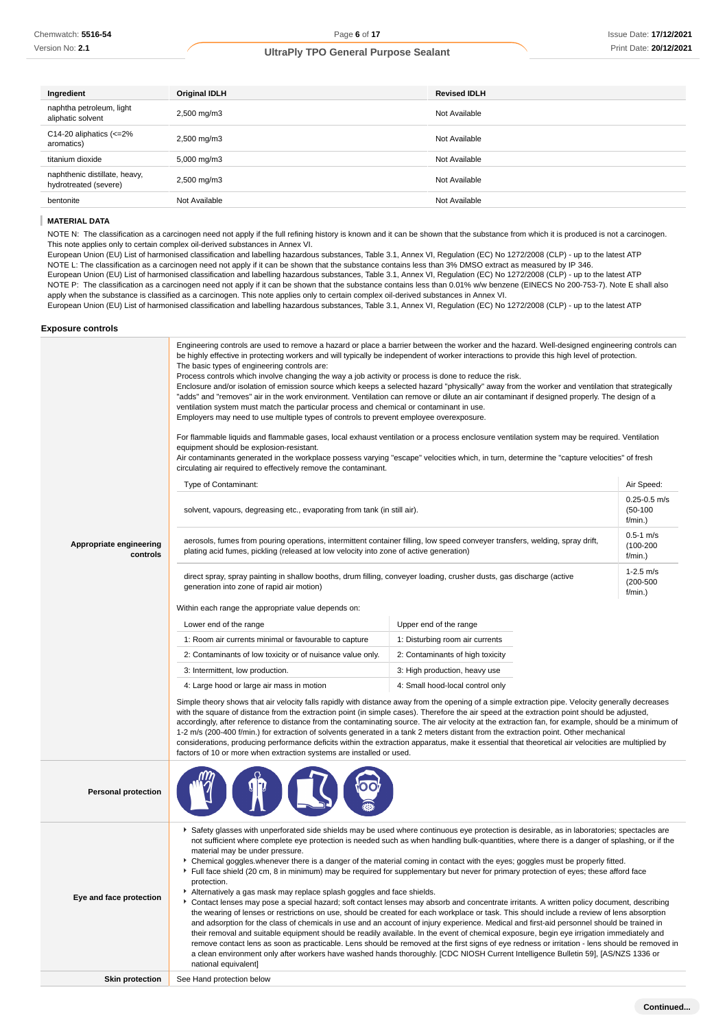| Ingredient                                                              | <b>Original IDLH</b>    | <b>Revised IDLH</b> |
|-------------------------------------------------------------------------|-------------------------|---------------------|
| naphtha petroleum, light<br>aliphatic solvent                           | 2,500 mg/m3             | Not Available       |
| C14-20 aliphatics $\left  \left  \right  < = 2\% \right $<br>aromatics) | 2,500 mg/m3             | Not Available       |
| titanium dioxide                                                        | $5,000 \,\mathrm{mg/m}$ | Not Available       |
| naphthenic distillate, heavy,<br>hydrotreated (severe)                  | 2,500 mg/m3             | Not Available       |
| bentonite                                                               | Not Available           | Not Available       |

#### I **MATERIAL DATA**

NOTE N: The classification as a carcinogen need not apply if the full refining history is known and it can be shown that the substance from which it is produced is not a carcinogen. This note applies only to certain complex oil-derived substances in Annex VI.

European Union (EU) List of harmonised classification and labelling hazardous substances, Table 3.1, Annex VI, Regulation (EC) No 1272/2008 (CLP) - up to the latest ATP NOTE L: The classification as a carcinogen need not apply if it can be shown that the substance contains less than 3% DMSO extract as measured by IP 346. European Union (EU) List of harmonised classification and labelling hazardous substances, Table 3.1, Annex VI, Regulation (EC) No 1272/2008 (CLP) - up to the latest ATP NOTE P: The classification as a carcinogen need not apply if it can be shown that the substance contains less than 0.01% w/w benzene (EINECS No 200-753-7). Note E shall also apply when the substance is classified as a carcinogen. This note applies only to certain complex oil-derived substances in Annex VI.

European Union (EU) List of harmonised classification and labelling hazardous substances, Table 3.1, Annex VI, Regulation (EC) No 1272/2008 (CLP) - up to the latest ATP

#### **Exposure controls**

|                                     | Engineering controls are used to remove a hazard or place a barrier between the worker and the hazard. Well-designed engineering controls can<br>be highly effective in protecting workers and will typically be independent of worker interactions to provide this high level of protection.<br>The basic types of engineering controls are:<br>Process controls which involve changing the way a job activity or process is done to reduce the risk.<br>Enclosure and/or isolation of emission source which keeps a selected hazard "physically" away from the worker and ventilation that strategically<br>"adds" and "removes" air in the work environment. Ventilation can remove or dilute an air contaminant if designed properly. The design of a<br>ventilation system must match the particular process and chemical or contaminant in use.<br>Employers may need to use multiple types of controls to prevent employee overexposure.<br>For flammable liquids and flammable gases, local exhaust ventilation or a process enclosure ventilation system may be required. Ventilation<br>equipment should be explosion-resistant.<br>Air contaminants generated in the workplace possess varying "escape" velocities which, in turn, determine the "capture velocities" of fresh<br>circulating air required to effectively remove the contaminant.                                                                                                                                                                                                                                                 |                                                                                                                              |                                           |  |
|-------------------------------------|--------------------------------------------------------------------------------------------------------------------------------------------------------------------------------------------------------------------------------------------------------------------------------------------------------------------------------------------------------------------------------------------------------------------------------------------------------------------------------------------------------------------------------------------------------------------------------------------------------------------------------------------------------------------------------------------------------------------------------------------------------------------------------------------------------------------------------------------------------------------------------------------------------------------------------------------------------------------------------------------------------------------------------------------------------------------------------------------------------------------------------------------------------------------------------------------------------------------------------------------------------------------------------------------------------------------------------------------------------------------------------------------------------------------------------------------------------------------------------------------------------------------------------------------------------------------------------------------------------------|------------------------------------------------------------------------------------------------------------------------------|-------------------------------------------|--|
|                                     | Type of Contaminant:                                                                                                                                                                                                                                                                                                                                                                                                                                                                                                                                                                                                                                                                                                                                                                                                                                                                                                                                                                                                                                                                                                                                                                                                                                                                                                                                                                                                                                                                                                                                                                                         |                                                                                                                              | Air Speed:                                |  |
|                                     | solvent, vapours, degreasing etc., evaporating from tank (in still air).                                                                                                                                                                                                                                                                                                                                                                                                                                                                                                                                                                                                                                                                                                                                                                                                                                                                                                                                                                                                                                                                                                                                                                                                                                                                                                                                                                                                                                                                                                                                     |                                                                                                                              | $0.25 - 0.5$ m/s<br>$(50-100)$<br>f/min.) |  |
| Appropriate engineering<br>controls | plating acid fumes, pickling (released at low velocity into zone of active generation)                                                                                                                                                                                                                                                                                                                                                                                                                                                                                                                                                                                                                                                                                                                                                                                                                                                                                                                                                                                                                                                                                                                                                                                                                                                                                                                                                                                                                                                                                                                       | aerosols, fumes from pouring operations, intermittent container filling, low speed conveyer transfers, welding, spray drift, | $0.5 - 1$ m/s<br>$(100 - 200)$<br>f/min.) |  |
|                                     | direct spray, spray painting in shallow booths, drum filling, conveyer loading, crusher dusts, gas discharge (active<br>generation into zone of rapid air motion)                                                                                                                                                                                                                                                                                                                                                                                                                                                                                                                                                                                                                                                                                                                                                                                                                                                                                                                                                                                                                                                                                                                                                                                                                                                                                                                                                                                                                                            |                                                                                                                              | $1-2.5$ m/s<br>$(200 - 500)$<br>f/min.)   |  |
|                                     | Within each range the appropriate value depends on:                                                                                                                                                                                                                                                                                                                                                                                                                                                                                                                                                                                                                                                                                                                                                                                                                                                                                                                                                                                                                                                                                                                                                                                                                                                                                                                                                                                                                                                                                                                                                          |                                                                                                                              |                                           |  |
|                                     | Lower end of the range                                                                                                                                                                                                                                                                                                                                                                                                                                                                                                                                                                                                                                                                                                                                                                                                                                                                                                                                                                                                                                                                                                                                                                                                                                                                                                                                                                                                                                                                                                                                                                                       | Upper end of the range                                                                                                       |                                           |  |
|                                     | 1: Room air currents minimal or favourable to capture                                                                                                                                                                                                                                                                                                                                                                                                                                                                                                                                                                                                                                                                                                                                                                                                                                                                                                                                                                                                                                                                                                                                                                                                                                                                                                                                                                                                                                                                                                                                                        | 1: Disturbing room air currents                                                                                              |                                           |  |
|                                     | 2: Contaminants of low toxicity or of nuisance value only.                                                                                                                                                                                                                                                                                                                                                                                                                                                                                                                                                                                                                                                                                                                                                                                                                                                                                                                                                                                                                                                                                                                                                                                                                                                                                                                                                                                                                                                                                                                                                   | 2: Contaminants of high toxicity                                                                                             |                                           |  |
|                                     | 3: Intermittent, low production.                                                                                                                                                                                                                                                                                                                                                                                                                                                                                                                                                                                                                                                                                                                                                                                                                                                                                                                                                                                                                                                                                                                                                                                                                                                                                                                                                                                                                                                                                                                                                                             | 3: High production, heavy use                                                                                                |                                           |  |
|                                     | 4: Large hood or large air mass in motion                                                                                                                                                                                                                                                                                                                                                                                                                                                                                                                                                                                                                                                                                                                                                                                                                                                                                                                                                                                                                                                                                                                                                                                                                                                                                                                                                                                                                                                                                                                                                                    | 4: Small hood-local control only                                                                                             |                                           |  |
|                                     | Simple theory shows that air velocity falls rapidly with distance away from the opening of a simple extraction pipe. Velocity generally decreases<br>with the square of distance from the extraction point (in simple cases). Therefore the air speed at the extraction point should be adjusted,<br>accordingly, after reference to distance from the contaminating source. The air velocity at the extraction fan, for example, should be a minimum of<br>1-2 m/s (200-400 f/min.) for extraction of solvents generated in a tank 2 meters distant from the extraction point. Other mechanical<br>considerations, producing performance deficits within the extraction apparatus, make it essential that theoretical air velocities are multiplied by<br>factors of 10 or more when extraction systems are installed or used.                                                                                                                                                                                                                                                                                                                                                                                                                                                                                                                                                                                                                                                                                                                                                                              |                                                                                                                              |                                           |  |
| <b>Personal protection</b>          |                                                                                                                                                                                                                                                                                                                                                                                                                                                                                                                                                                                                                                                                                                                                                                                                                                                                                                                                                                                                                                                                                                                                                                                                                                                                                                                                                                                                                                                                                                                                                                                                              |                                                                                                                              |                                           |  |
| Eye and face protection             | ▶ Safety glasses with unperforated side shields may be used where continuous eye protection is desirable, as in laboratories; spectacles are<br>not sufficient where complete eye protection is needed such as when handling bulk-quantities, where there is a danger of splashing, or if the<br>material may be under pressure.<br>▶ Chemical goggles whenever there is a danger of the material coming in contact with the eyes; goggles must be properly fitted.<br>Full face shield (20 cm, 8 in minimum) may be required for supplementary but never for primary protection of eyes; these afford face<br>protection.<br>Alternatively a gas mask may replace splash goggles and face shields.<br>▶ Contact lenses may pose a special hazard; soft contact lenses may absorb and concentrate irritants. A written policy document, describing<br>the wearing of lenses or restrictions on use, should be created for each workplace or task. This should include a review of lens absorption<br>and adsorption for the class of chemicals in use and an account of injury experience. Medical and first-aid personnel should be trained in<br>their removal and suitable equipment should be readily available. In the event of chemical exposure, begin eye irrigation immediately and<br>remove contact lens as soon as practicable. Lens should be removed at the first signs of eye redness or irritation - lens should be removed in<br>a clean environment only after workers have washed hands thoroughly. [CDC NIOSH Current Intelligence Bulletin 59], [AS/NZS 1336 or<br>national equivalent] |                                                                                                                              |                                           |  |
| <b>Skin protection</b>              | See Hand protection below                                                                                                                                                                                                                                                                                                                                                                                                                                                                                                                                                                                                                                                                                                                                                                                                                                                                                                                                                                                                                                                                                                                                                                                                                                                                                                                                                                                                                                                                                                                                                                                    |                                                                                                                              |                                           |  |
|                                     |                                                                                                                                                                                                                                                                                                                                                                                                                                                                                                                                                                                                                                                                                                                                                                                                                                                                                                                                                                                                                                                                                                                                                                                                                                                                                                                                                                                                                                                                                                                                                                                                              |                                                                                                                              |                                           |  |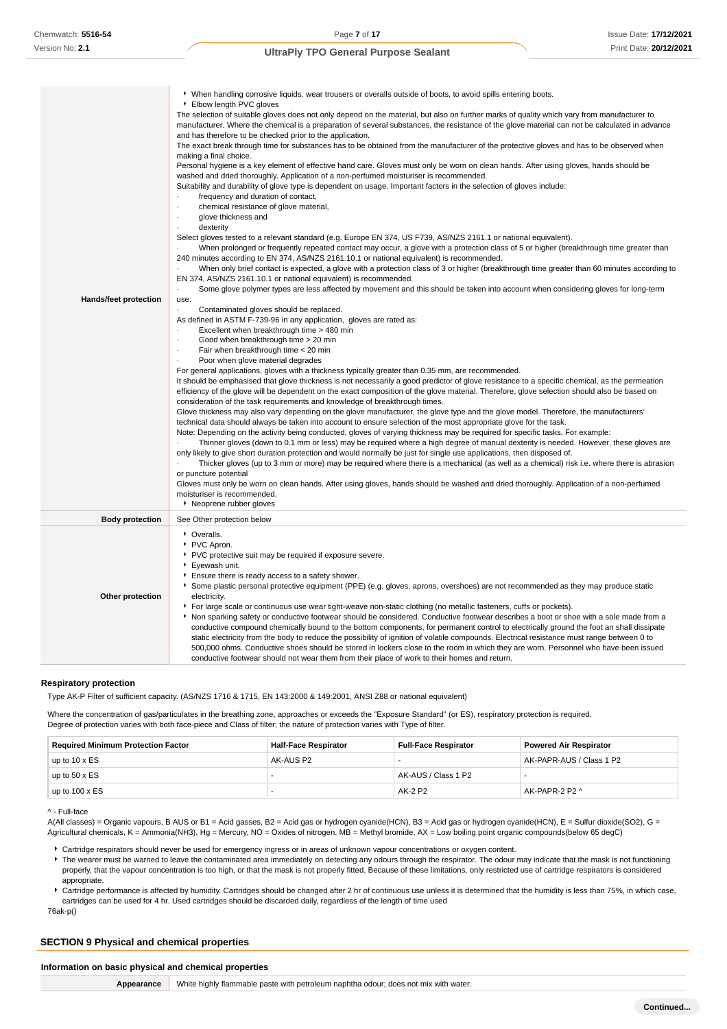| Hands/feet protection  | ▶ When handling corrosive liquids, wear trousers or overalls outside of boots, to avoid spills entering boots.<br>Elbow length PVC gloves<br>The selection of suitable gloves does not only depend on the material, but also on further marks of quality which vary from manufacturer to<br>manufacturer. Where the chemical is a preparation of several substances, the resistance of the glove material can not be calculated in advance<br>and has therefore to be checked prior to the application.<br>The exact break through time for substances has to be obtained from the manufacturer of the protective gloves and has to be observed when<br>making a final choice.<br>Personal hygiene is a key element of effective hand care. Gloves must only be worn on clean hands. After using gloves, hands should be<br>washed and dried thoroughly. Application of a non-perfumed moisturiser is recommended.<br>Suitability and durability of glove type is dependent on usage. Important factors in the selection of gloves include:<br>frequency and duration of contact,<br>chemical resistance of glove material,<br>glove thickness and<br>dexterity<br>Select gloves tested to a relevant standard (e.g. Europe EN 374, US F739, AS/NZS 2161.1 or national equivalent).<br>When prolonged or frequently repeated contact may occur, a glove with a protection class of 5 or higher (breakthrough time greater than<br>240 minutes according to EN 374, AS/NZS 2161.10.1 or national equivalent) is recommended.<br>When only brief contact is expected, a glove with a protection class of 3 or higher (breakthrough time greater than 60 minutes according to<br>EN 374, AS/NZS 2161.10.1 or national equivalent) is recommended.<br>Some glove polymer types are less affected by movement and this should be taken into account when considering gloves for long-term<br>use.<br>Contaminated gloves should be replaced.<br>As defined in ASTM F-739-96 in any application, gloves are rated as:<br>Excellent when breakthrough time > 480 min<br>Good when breakthrough time > 20 min<br>Fair when breakthrough time < 20 min<br>Poor when glove material degrades<br>For general applications, gloves with a thickness typically greater than 0.35 mm, are recommended.<br>It should be emphasised that glove thickness is not necessarily a good predictor of glove resistance to a specific chemical, as the permeation<br>efficiency of the glove will be dependent on the exact composition of the glove material. Therefore, glove selection should also be based on<br>consideration of the task requirements and knowledge of breakthrough times.<br>Glove thickness may also vary depending on the glove manufacturer, the glove type and the glove model. Therefore, the manufacturers'<br>technical data should always be taken into account to ensure selection of the most appropriate glove for the task.<br>Note: Depending on the activity being conducted, gloves of varying thickness may be required for specific tasks. For example:<br>Thinner gloves (down to 0.1 mm or less) may be required where a high degree of manual dexterity is needed. However, these gloves are<br>only likely to give short duration protection and would normally be just for single use applications, then disposed of.<br>Thicker gloves (up to 3 mm or more) may be required where there is a mechanical (as well as a chemical) risk i.e. where there is abrasion<br>or puncture potential<br>Gloves must only be worn on clean hands. After using gloves, hands should be washed and dried thoroughly. Application of a non-perfumed<br>moisturiser is recommended.<br>▶ Neoprene rubber gloves |
|------------------------|-------------------------------------------------------------------------------------------------------------------------------------------------------------------------------------------------------------------------------------------------------------------------------------------------------------------------------------------------------------------------------------------------------------------------------------------------------------------------------------------------------------------------------------------------------------------------------------------------------------------------------------------------------------------------------------------------------------------------------------------------------------------------------------------------------------------------------------------------------------------------------------------------------------------------------------------------------------------------------------------------------------------------------------------------------------------------------------------------------------------------------------------------------------------------------------------------------------------------------------------------------------------------------------------------------------------------------------------------------------------------------------------------------------------------------------------------------------------------------------------------------------------------------------------------------------------------------------------------------------------------------------------------------------------------------------------------------------------------------------------------------------------------------------------------------------------------------------------------------------------------------------------------------------------------------------------------------------------------------------------------------------------------------------------------------------------------------------------------------------------------------------------------------------------------------------------------------------------------------------------------------------------------------------------------------------------------------------------------------------------------------------------------------------------------------------------------------------------------------------------------------------------------------------------------------------------------------------------------------------------------------------------------------------------------------------------------------------------------------------------------------------------------------------------------------------------------------------------------------------------------------------------------------------------------------------------------------------------------------------------------------------------------------------------------------------------------------------------------------------------------------------------------------------------------------------------------------------------------------------------------------------------------------------------------------------------------------------------------------------------------------------------------------------------------------------------------------------------------------------------------------------------------------------------------------------------------------------------------------------------------------------------------------------------------------------------------------------------------|
| <b>Body protection</b> | See Other protection below                                                                                                                                                                                                                                                                                                                                                                                                                                                                                                                                                                                                                                                                                                                                                                                                                                                                                                                                                                                                                                                                                                                                                                                                                                                                                                                                                                                                                                                                                                                                                                                                                                                                                                                                                                                                                                                                                                                                                                                                                                                                                                                                                                                                                                                                                                                                                                                                                                                                                                                                                                                                                                                                                                                                                                                                                                                                                                                                                                                                                                                                                                                                                                                                                                                                                                                                                                                                                                                                                                                                                                                                                                                                                              |
| Other protection       | • Overalls.<br>PVC Apron.<br>PVC protective suit may be required if exposure severe.<br>Eyewash unit.<br>Ensure there is ready access to a safety shower.<br>Some plastic personal protective equipment (PPE) (e.g. gloves, aprons, overshoes) are not recommended as they may produce static<br>electricity.<br>For large scale or continuous use wear tight-weave non-static clothing (no metallic fasteners, cuffs or pockets).<br>Non sparking safety or conductive footwear should be considered. Conductive footwear describes a boot or shoe with a sole made from a<br>conductive compound chemically bound to the bottom components, for permanent control to electrically ground the foot an shall dissipate<br>static electricity from the body to reduce the possibility of ignition of volatile compounds. Electrical resistance must range between 0 to<br>500,000 ohms. Conductive shoes should be stored in lockers close to the room in which they are worn. Personnel who have been issued                                                                                                                                                                                                                                                                                                                                                                                                                                                                                                                                                                                                                                                                                                                                                                                                                                                                                                                                                                                                                                                                                                                                                                                                                                                                                                                                                                                                                                                                                                                                                                                                                                                                                                                                                                                                                                                                                                                                                                                                                                                                                                                                                                                                                                                                                                                                                                                                                                                                                                                                                                                                                                                                                                            |

#### **Respiratory protection**

Type AK-P Filter of sufficient capacity. (AS/NZS 1716 & 1715, EN 143:2000 & 149:2001, ANSI Z88 or national equivalent)

Where the concentration of gas/particulates in the breathing zone, approaches or exceeds the "Exposure Standard" (or ES), respiratory protection is required. Degree of protection varies with both face-piece and Class of filter; the nature of protection varies with Type of filter.

| <b>Required Minimum Protection Factor</b> | <b>Half-Face Respirator</b> | <b>Full-Face Respirator</b> | <b>Powered Air Respirator</b> |
|-------------------------------------------|-----------------------------|-----------------------------|-------------------------------|
| up to $10 \times ES$                      | AK-AUS P2                   |                             | AK-PAPR-AUS / Class 1 P2      |
| up to $50 \times ES$                      |                             | AK-AUS / Class 1 P2         |                               |
| up to $100 \times ES$                     |                             | AK-2 P2                     | AK-PAPR-2 P2 ^                |

conductive footwear should not wear them from their place of work to their homes and return.

#### ^ - Full-face

A(All classes) = Organic vapours, B AUS or B1 = Acid gasses, B2 = Acid gas or hydrogen cyanide(HCN), B3 = Acid gas or hydrogen cyanide(HCN), E = Sulfur dioxide(SO2), G = Agricultural chemicals, K = Ammonia(NH3), Hg = Mercury, NO = Oxides of nitrogen, MB = Methyl bromide, AX = Low boiling point organic compounds(below 65 degC)

Cartridge respirators should never be used for emergency ingress or in areas of unknown vapour concentrations or oxygen content.

The wearer must be warned to leave the contaminated area immediately on detecting any odours through the respirator. The odour may indicate that the mask is not functioning properly, that the vapour concentration is too high, or that the mask is not properly fitted. Because of these limitations, only restricted use of cartridge respirators is considered appropriate.

Cartridge performance is affected by humidity. Cartridges should be changed after 2 hr of continuous use unless it is determined that the humidity is less than 75%, in which case, cartridges can be used for 4 hr. Used cartridges should be discarded daily, regardless of the length of time used

76ak-p()

## **SECTION 9 Physical and chemical properties**

#### **Information on basic physical and chemical properties**

**Appearance** White highly flammable paste with petroleum naphtha odour; does not mix with water.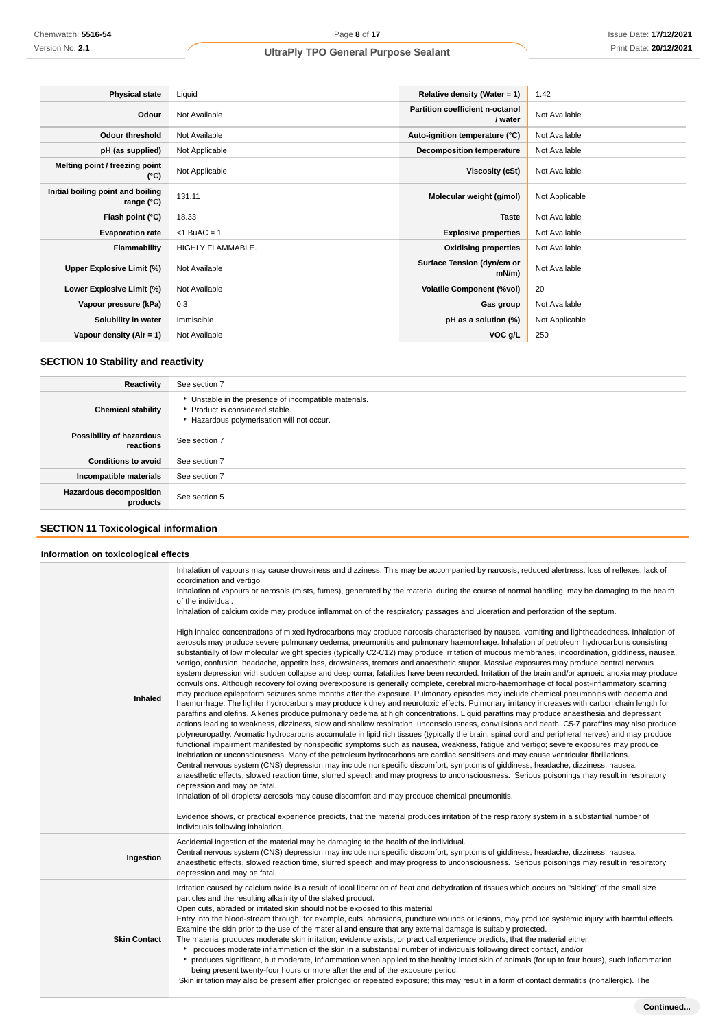| <b>Physical state</b>                           | Liquid            | Relative density (Water = $1$ )            | 1.42           |
|-------------------------------------------------|-------------------|--------------------------------------------|----------------|
| Odour                                           | Not Available     | Partition coefficient n-octanol<br>/ water | Not Available  |
| <b>Odour threshold</b>                          | Not Available     | Auto-ignition temperature (°C)             | Not Available  |
| pH (as supplied)                                | Not Applicable    | <b>Decomposition temperature</b>           | Not Available  |
| Melting point / freezing point<br>(°C)          | Not Applicable    | Viscosity (cSt)                            | Not Available  |
| Initial boiling point and boiling<br>range (°C) | 131.11            | Molecular weight (g/mol)                   | Not Applicable |
| Flash point (°C)                                | 18.33             | <b>Taste</b>                               | Not Available  |
| <b>Evaporation rate</b>                         | $<$ 1 BuAC = 1    | <b>Explosive properties</b>                | Not Available  |
| Flammability                                    | HIGHLY FLAMMABLE. | <b>Oxidising properties</b>                | Not Available  |
| Upper Explosive Limit (%)                       | Not Available     | Surface Tension (dyn/cm or<br>$mN/m$ )     | Not Available  |
| Lower Explosive Limit (%)                       | Not Available     | <b>Volatile Component (%vol)</b>           | 20             |
| Vapour pressure (kPa)                           | 0.3               | Gas group                                  | Not Available  |
| Solubility in water                             | Immiscible        | pH as a solution (%)                       | Not Applicable |
| Vapour density $(Air = 1)$                      | Not Available     | VOC g/L                                    | 250            |

# **SECTION 10 Stability and reactivity**

| Reactivity                                 | See section 7                                                                                                                        |
|--------------------------------------------|--------------------------------------------------------------------------------------------------------------------------------------|
| <b>Chemical stability</b>                  | • Unstable in the presence of incompatible materials.<br>▶ Product is considered stable.<br>Hazardous polymerisation will not occur. |
| Possibility of hazardous<br>reactions      | See section 7                                                                                                                        |
| <b>Conditions to avoid</b>                 | See section 7                                                                                                                        |
| Incompatible materials                     | See section 7                                                                                                                        |
| <b>Hazardous decomposition</b><br>products | See section 5                                                                                                                        |

# **SECTION 11 Toxicological information**

# **Information on toxicological effects**

| Inhaled             | Inhalation of vapours may cause drowsiness and dizziness. This may be accompanied by narcosis, reduced alertness, loss of reflexes, lack of<br>coordination and vertigo.<br>Inhalation of vapours or aerosols (mists, fumes), generated by the material during the course of normal handling, may be damaging to the health<br>of the individual.<br>Inhalation of calcium oxide may produce inflammation of the respiratory passages and ulceration and perforation of the septum.<br>High inhaled concentrations of mixed hydrocarbons may produce narcosis characterised by nausea, vomiting and lightheadedness. Inhalation of<br>aerosols may produce severe pulmonary oedema, pneumonitis and pulmonary haemorrhage. Inhalation of petroleum hydrocarbons consisting<br>substantially of low molecular weight species (typically C2-C12) may produce irritation of mucous membranes, incoordination, giddiness, nausea,<br>vertigo, confusion, headache, appetite loss, drowsiness, tremors and anaesthetic stupor. Massive exposures may produce central nervous<br>system depression with sudden collapse and deep coma; fatalities have been recorded. Irritation of the brain and/or apnoeic anoxia may produce<br>convulsions. Although recovery following overexposure is generally complete, cerebral micro-haemorrhage of focal post-inflammatory scarring<br>may produce epileptiform seizures some months after the exposure. Pulmonary episodes may include chemical pneumonitis with oedema and<br>haemorrhage. The lighter hydrocarbons may produce kidney and neurotoxic effects. Pulmonary irritancy increases with carbon chain length for<br>paraffins and olefins. Alkenes produce pulmonary oedema at high concentrations. Liquid paraffins may produce anaesthesia and depressant<br>actions leading to weakness, dizziness, slow and shallow respiration, unconsciousness, convulsions and death. C5-7 paraffins may also produce<br>polyneuropathy. Aromatic hydrocarbons accumulate in lipid rich tissues (typically the brain, spinal cord and peripheral nerves) and may produce<br>functional impairment manifested by nonspecific symptoms such as nausea, weakness, fatigue and vertigo; severe exposures may produce<br>inebriation or unconsciousness. Many of the petroleum hydrocarbons are cardiac sensitisers and may cause ventricular fibrillations.<br>Central nervous system (CNS) depression may include nonspecific discomfort, symptoms of giddiness, headache, dizziness, nausea,<br>anaesthetic effects, slowed reaction time, slurred speech and may progress to unconsciousness. Serious poisonings may result in respiratory<br>depression and may be fatal.<br>Inhalation of oil droplets/ aerosols may cause discomfort and may produce chemical pneumonitis.<br>Evidence shows, or practical experience predicts, that the material produces irritation of the respiratory system in a substantial number of<br>individuals following inhalation. |
|---------------------|----------------------------------------------------------------------------------------------------------------------------------------------------------------------------------------------------------------------------------------------------------------------------------------------------------------------------------------------------------------------------------------------------------------------------------------------------------------------------------------------------------------------------------------------------------------------------------------------------------------------------------------------------------------------------------------------------------------------------------------------------------------------------------------------------------------------------------------------------------------------------------------------------------------------------------------------------------------------------------------------------------------------------------------------------------------------------------------------------------------------------------------------------------------------------------------------------------------------------------------------------------------------------------------------------------------------------------------------------------------------------------------------------------------------------------------------------------------------------------------------------------------------------------------------------------------------------------------------------------------------------------------------------------------------------------------------------------------------------------------------------------------------------------------------------------------------------------------------------------------------------------------------------------------------------------------------------------------------------------------------------------------------------------------------------------------------------------------------------------------------------------------------------------------------------------------------------------------------------------------------------------------------------------------------------------------------------------------------------------------------------------------------------------------------------------------------------------------------------------------------------------------------------------------------------------------------------------------------------------------------------------------------------------------------------------------------------------------------------------------------------------------------------------------------------------------------------------------------------------------------------------------------------------------------------------------------------------------------------------------------------------|
| Ingestion           | Accidental ingestion of the material may be damaging to the health of the individual.<br>Central nervous system (CNS) depression may include nonspecific discomfort, symptoms of giddiness, headache, dizziness, nausea,<br>anaesthetic effects, slowed reaction time, slurred speech and may progress to unconsciousness. Serious poisonings may result in respiratory<br>depression and may be fatal.                                                                                                                                                                                                                                                                                                                                                                                                                                                                                                                                                                                                                                                                                                                                                                                                                                                                                                                                                                                                                                                                                                                                                                                                                                                                                                                                                                                                                                                                                                                                                                                                                                                                                                                                                                                                                                                                                                                                                                                                                                                                                                                                                                                                                                                                                                                                                                                                                                                                                                                                                                                                  |
| <b>Skin Contact</b> | Irritation caused by calcium oxide is a result of local liberation of heat and dehydration of tissues which occurs on "slaking" of the small size<br>particles and the resulting alkalinity of the slaked product.<br>Open cuts, abraded or irritated skin should not be exposed to this material<br>Entry into the blood-stream through, for example, cuts, abrasions, puncture wounds or lesions, may produce systemic injury with harmful effects.<br>Examine the skin prior to the use of the material and ensure that any external damage is suitably protected.<br>The material produces moderate skin irritation; evidence exists, or practical experience predicts, that the material either<br>produces moderate inflammation of the skin in a substantial number of individuals following direct contact, and/or<br>▶ produces significant, but moderate, inflammation when applied to the healthy intact skin of animals (for up to four hours), such inflammation<br>being present twenty-four hours or more after the end of the exposure period.<br>Skin irritation may also be present after prolonged or repeated exposure; this may result in a form of contact dermatitis (nonallergic). The                                                                                                                                                                                                                                                                                                                                                                                                                                                                                                                                                                                                                                                                                                                                                                                                                                                                                                                                                                                                                                                                                                                                                                                                                                                                                                                                                                                                                                                                                                                                                                                                                                                                                                                                                                                           |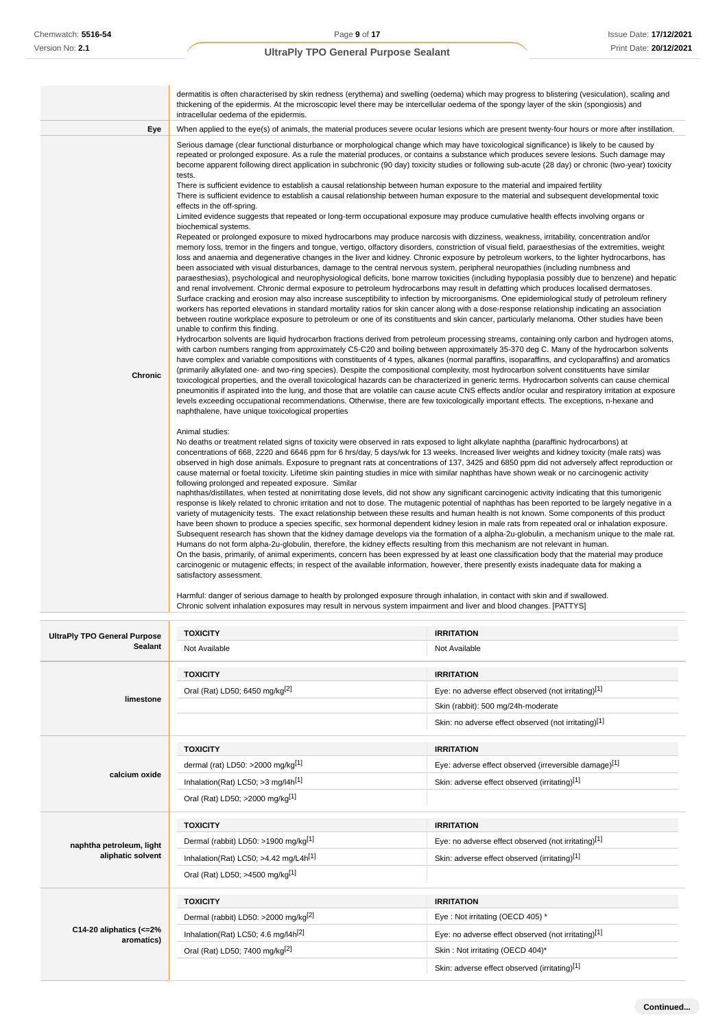|                | dermatitis is often characterised by skin redness (erythema) and swelling (oedema) which may progress to blistering (vesiculation), scaling and<br>thickening of the epidermis. At the microscopic level there may be intercellular oedema of the spongy layer of the skin (spongiosis) and                                                                                                                                                                                                                                                                                                                                                                                                                                                                                                                                                                                                                                                                                                                                                                                                                                                                                                                                                                                                                                                                                                                                                                                                                                                                                                                                                                                                                                                                                                                                                                                                                                                                                                                                                                                                                                                                                                                                                                                                                                                                                                                                                                                                                                                                                                                                                                                                                                                                                                                                                                                                                                                                                                                                                                                                                                                                                                                                                                                                                                                                                                                                                                                                                                                                                                                                                                                                                                                                                                                                                                                                                                                                                                                                                                                                                                                                                                                                                                                                                                                                                                                                                                                                                                                                                                                                                                                                                                                                                                                                                                                                                                                                                                                                                                                                                                                                                                                                                                                                                                                                                                                                                                                                                                                      |
|----------------|--------------------------------------------------------------------------------------------------------------------------------------------------------------------------------------------------------------------------------------------------------------------------------------------------------------------------------------------------------------------------------------------------------------------------------------------------------------------------------------------------------------------------------------------------------------------------------------------------------------------------------------------------------------------------------------------------------------------------------------------------------------------------------------------------------------------------------------------------------------------------------------------------------------------------------------------------------------------------------------------------------------------------------------------------------------------------------------------------------------------------------------------------------------------------------------------------------------------------------------------------------------------------------------------------------------------------------------------------------------------------------------------------------------------------------------------------------------------------------------------------------------------------------------------------------------------------------------------------------------------------------------------------------------------------------------------------------------------------------------------------------------------------------------------------------------------------------------------------------------------------------------------------------------------------------------------------------------------------------------------------------------------------------------------------------------------------------------------------------------------------------------------------------------------------------------------------------------------------------------------------------------------------------------------------------------------------------------------------------------------------------------------------------------------------------------------------------------------------------------------------------------------------------------------------------------------------------------------------------------------------------------------------------------------------------------------------------------------------------------------------------------------------------------------------------------------------------------------------------------------------------------------------------------------------------------------------------------------------------------------------------------------------------------------------------------------------------------------------------------------------------------------------------------------------------------------------------------------------------------------------------------------------------------------------------------------------------------------------------------------------------------------------------------------------------------------------------------------------------------------------------------------------------------------------------------------------------------------------------------------------------------------------------------------------------------------------------------------------------------------------------------------------------------------------------------------------------------------------------------------------------------------------------------------------------------------------------------------------------------------------------------------------------------------------------------------------------------------------------------------------------------------------------------------------------------------------------------------------------------------------------------------------------------------------------------------------------------------------------------------------------------------------------------------------------------------------------------------------------------------------------------------------------------------------------------------------------------------------------------------------------------------------------------------------------------------------------------------------------------------------------------------------------------------------------------------------------------------------------------------------------------------------------------------------------------------------------------------------------------------------------------------------------------------------------------------------------------------------------------------------------------------------------------------------------------------------------------------------------------------------------------------------------------------------------------------------------------------------------------------------------------------------------------------------------------------------------------------------------------------------------------------------------------------------|
|                | intracellular oedema of the epidermis.                                                                                                                                                                                                                                                                                                                                                                                                                                                                                                                                                                                                                                                                                                                                                                                                                                                                                                                                                                                                                                                                                                                                                                                                                                                                                                                                                                                                                                                                                                                                                                                                                                                                                                                                                                                                                                                                                                                                                                                                                                                                                                                                                                                                                                                                                                                                                                                                                                                                                                                                                                                                                                                                                                                                                                                                                                                                                                                                                                                                                                                                                                                                                                                                                                                                                                                                                                                                                                                                                                                                                                                                                                                                                                                                                                                                                                                                                                                                                                                                                                                                                                                                                                                                                                                                                                                                                                                                                                                                                                                                                                                                                                                                                                                                                                                                                                                                                                                                                                                                                                                                                                                                                                                                                                                                                                                                                                                                                                                                                                           |
| Eye            | When applied to the eye(s) of animals, the material produces severe ocular lesions which are present twenty-four hours or more after instillation.                                                                                                                                                                                                                                                                                                                                                                                                                                                                                                                                                                                                                                                                                                                                                                                                                                                                                                                                                                                                                                                                                                                                                                                                                                                                                                                                                                                                                                                                                                                                                                                                                                                                                                                                                                                                                                                                                                                                                                                                                                                                                                                                                                                                                                                                                                                                                                                                                                                                                                                                                                                                                                                                                                                                                                                                                                                                                                                                                                                                                                                                                                                                                                                                                                                                                                                                                                                                                                                                                                                                                                                                                                                                                                                                                                                                                                                                                                                                                                                                                                                                                                                                                                                                                                                                                                                                                                                                                                                                                                                                                                                                                                                                                                                                                                                                                                                                                                                                                                                                                                                                                                                                                                                                                                                                                                                                                                                               |
| <b>Chronic</b> | Serious damage (clear functional disturbance or morphological change which may have toxicological significance) is likely to be caused by<br>repeated or prolonged exposure. As a rule the material produces, or contains a substance which produces severe lesions. Such damage may<br>become apparent following direct application in subchronic (90 day) toxicity studies or following sub-acute (28 day) or chronic (two-year) toxicity<br>tests.<br>There is sufficient evidence to establish a causal relationship between human exposure to the material and impaired fertility<br>There is sufficient evidence to establish a causal relationship between human exposure to the material and subsequent developmental toxic<br>effects in the off-spring.<br>Limited evidence suggests that repeated or long-term occupational exposure may produce cumulative health effects involving organs or<br>biochemical systems.<br>Repeated or prolonged exposure to mixed hydrocarbons may produce narcosis with dizziness, weakness, irritability, concentration and/or<br>memory loss, tremor in the fingers and tongue, vertigo, olfactory disorders, constriction of visual field, paraesthesias of the extremities, weight<br>loss and anaemia and degenerative changes in the liver and kidney. Chronic exposure by petroleum workers, to the lighter hydrocarbons, has<br>been associated with visual disturbances, damage to the central nervous system, peripheral neuropathies (including numbness and<br>paraesthesias), psychological and neurophysiological deficits, bone marrow toxicities (including hypoplasia possibly due to benzene) and hepatic<br>and renal involvement. Chronic dermal exposure to petroleum hydrocarbons may result in defatting which produces localised dermatoses.<br>Surface cracking and erosion may also increase susceptibility to infection by microorganisms. One epidemiological study of petroleum refinery<br>workers has reported elevations in standard mortality ratios for skin cancer along with a dose-response relationship indicating an association<br>between routine workplace exposure to petroleum or one of its constituents and skin cancer, particularly melanoma. Other studies have been<br>unable to confirm this finding.<br>Hydrocarbon solvents are liquid hydrocarbon fractions derived from petroleum processing streams, containing only carbon and hydrogen atoms,<br>with carbon numbers ranging from approximately C5-C20 and boiling between approximately 35-370 deg C. Many of the hydrocarbon solvents<br>have complex and variable compositions with constituents of 4 types, alkanes (normal paraffins, isoparaffins, and cycloparaffins) and aromatics<br>(primarily alkylated one- and two-ring species). Despite the compositional complexity, most hydrocarbon solvent constituents have similar<br>toxicological properties, and the overall toxicological hazards can be characterized in generic terms. Hydrocarbon solvents can cause chemical<br>pneumonitis if aspirated into the lung, and those that are volatile can cause acute CNS effects and/or ocular and respiratory irritation at exposure<br>levels exceeding occupational recommendations. Otherwise, there are few toxicologically important effects. The exceptions, n-hexane and<br>naphthalene, have unique toxicological properties<br>Animal studies:<br>No deaths or treatment related signs of toxicity were observed in rats exposed to light alkylate naphtha (paraffinic hydrocarbons) at<br>concentrations of 668, 2220 and 6646 ppm for 6 hrs/day, 5 days/wk for 13 weeks. Increased liver weights and kidney toxicity (male rats) was<br>observed in high dose animals. Exposure to pregnant rats at concentrations of 137, 3425 and 6850 ppm did not adversely affect reproduction or<br>cause maternal or foetal toxicity. Lifetime skin painting studies in mice with similar naphthas have shown weak or no carcinogenic activity<br>following prolonged and repeated exposure. Similar<br>naphthas/distillates, when tested at nonirritating dose levels, did not show any significant carcinogenic activity indicating that this tumorigenic<br>response is likely related to chronic irritation and not to dose. The mutagenic potential of naphthas has been reported to be largely negative in a<br>variety of mutagenicity tests. The exact relationship between these results and human health is not known. Some components of this product<br>have been shown to produce a species specific, sex hormonal dependent kidney lesion in male rats from repeated oral or inhalation exposure.<br>Subsequent research has shown that the kidney damage develops via the formation of a alpha-2u-globulin, a mechanism unique to the male rat.<br>Humans do not form alpha-2u-globulin, therefore, the kidney effects resulting from this mechanism are not relevant in human.<br>On the basis, primarily, of animal experiments, concern has been expressed by at least one classification body that the material may produce<br>carcinogenic or mutagenic effects; in respect of the available information, however, there presently exists inadequate data for making a<br>satisfactory assessment.<br>Harmful: danger of serious damage to health by prolonged exposure through inhalation, in contact with skin and if swallowed.<br>Chronic solvent inhalation exposures may result in nervous system impairment and liver and blood changes. [PATTYS] |

| <b>UltraPly TPO General Purpose</b><br><b>Sealant</b> | <b>TOXICITY</b>                                  | <b>IRRITATION</b>                                     |  |
|-------------------------------------------------------|--------------------------------------------------|-------------------------------------------------------|--|
|                                                       | Not Available                                    | Not Available                                         |  |
|                                                       | <b>TOXICITY</b>                                  | <b>IRRITATION</b>                                     |  |
|                                                       | Oral (Rat) LD50; 6450 mg/kg <sup>[2]</sup>       | Eye: no adverse effect observed (not irritating)[1]   |  |
| limestone                                             |                                                  | Skin (rabbit): 500 mg/24h-moderate                    |  |
|                                                       |                                                  | Skin: no adverse effect observed (not irritating)[1]  |  |
|                                                       | <b>TOXICITY</b>                                  | <b>IRRITATION</b>                                     |  |
|                                                       | dermal (rat) LD50: >2000 mg/kg <sup>[1]</sup>    | Eye: adverse effect observed (irreversible damage)[1] |  |
| calcium oxide                                         | Inhalation(Rat) LC50; $>3$ mg/l4h <sup>[1]</sup> | Skin: adverse effect observed (irritating)[1]         |  |
|                                                       | Oral (Rat) LD50; >2000 mg/kg[1]                  |                                                       |  |
|                                                       | <b>TOXICITY</b>                                  | <b>IRRITATION</b>                                     |  |
| naphtha petroleum, light                              | Dermal (rabbit) LD50: >1900 mg/kg <sup>[1]</sup> | Eye: no adverse effect observed (not irritating)[1]   |  |
| aliphatic solvent                                     | Inhalation(Rat) LC50; >4.42 mg/L4 $h[1]$         | Skin: adverse effect observed (irritating)[1]         |  |
|                                                       | Oral (Rat) LD50; >4500 mg/kg[1]                  |                                                       |  |
|                                                       | <b>TOXICITY</b>                                  | <b>IRRITATION</b>                                     |  |
| C14-20 aliphatics $\left($ <= 2%<br>aromatics)        | Dermal (rabbit) LD50: >2000 mg/kg <sup>[2]</sup> | Eye: Not irritating (OECD 405) *                      |  |
|                                                       | Inhalation(Rat) LC50; 4.6 mg/l4h <sup>[2]</sup>  | Eye: no adverse effect observed (not irritating)[1]   |  |
|                                                       | Oral (Rat) LD50; 7400 mg/kg <sup>[2]</sup>       | Skin: Not irritating (OECD 404)*                      |  |
|                                                       |                                                  | Skin: adverse effect observed (irritating)[1]         |  |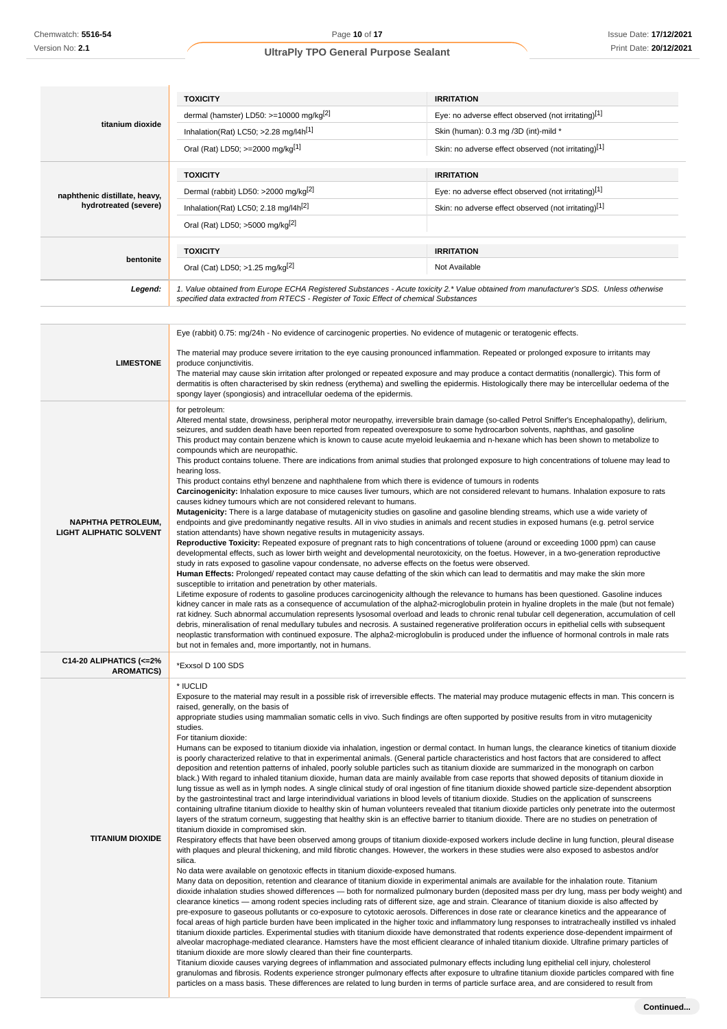|                                                        | <b>TOXICITY</b>                                                                                                                                                                                                                 | <b>IRRITATION</b>                                    |  |
|--------------------------------------------------------|---------------------------------------------------------------------------------------------------------------------------------------------------------------------------------------------------------------------------------|------------------------------------------------------|--|
|                                                        | dermal (hamster) LD50: $>=10000$ mg/kg <sup>[2]</sup>                                                                                                                                                                           | Eye: no adverse effect observed (not irritating)[1]  |  |
| titanium dioxide                                       | Inhalation(Rat) LC50; $>2.28$ mg/l4h <sup>[1]</sup>                                                                                                                                                                             | Skin (human): 0.3 mg /3D (int)-mild *                |  |
|                                                        | Oral (Rat) LD50; >=2000 mg/kg[1]                                                                                                                                                                                                | Skin: no adverse effect observed (not irritating)[1] |  |
|                                                        | <b>TOXICITY</b>                                                                                                                                                                                                                 | <b>IRRITATION</b>                                    |  |
| naphthenic distillate, heavy,<br>hydrotreated (severe) | Dermal (rabbit) LD50: >2000 mg/kg <sup>[2]</sup>                                                                                                                                                                                | Eye: no adverse effect observed (not irritating)[1]  |  |
|                                                        | Inhalation(Rat) LC50; 2.18 mg/l4h <sup>[2]</sup>                                                                                                                                                                                | Skin: no adverse effect observed (not irritating)[1] |  |
|                                                        | Oral (Rat) LD50; >5000 mg/kg[2]                                                                                                                                                                                                 |                                                      |  |
|                                                        | <b>TOXICITY</b>                                                                                                                                                                                                                 | <b>IRRITATION</b>                                    |  |
| bentonite                                              | Oral (Cat) LD50; >1.25 mg/kg <sup>[2]</sup>                                                                                                                                                                                     | Not Available                                        |  |
| Legend:                                                | 1. Value obtained from Europe ECHA Registered Substances - Acute toxicity 2.* Value obtained from manufacturer's SDS. Unless otherwise<br>specified data extracted from RTECS - Register of Toxic Effect of chemical Substances |                                                      |  |

|                                                             | Eye (rabbit) 0.75: mg/24h - No evidence of carcinogenic properties. No evidence of mutagenic or teratogenic effects.                                                                                                                                                                                                                                                                                                                                                                                                                                                                                                                                                                                                                                                                                                                                                                                                                                                                                                                                                                                                                                                                                                                                                                                                                                                                                                                                                                                                                                                                                                                                                                                                                                                                                                                                                                                                                                                                                                                                                                                                                                                                                                                                                                                                                                                                                                                                                                                                                                                                                                                                                                                                                                                                                                                                                                                                                                                                                                                                                                                                                                                                                                                                                                                                                                                                                                                                                                                                                                                                                                                                       |
|-------------------------------------------------------------|------------------------------------------------------------------------------------------------------------------------------------------------------------------------------------------------------------------------------------------------------------------------------------------------------------------------------------------------------------------------------------------------------------------------------------------------------------------------------------------------------------------------------------------------------------------------------------------------------------------------------------------------------------------------------------------------------------------------------------------------------------------------------------------------------------------------------------------------------------------------------------------------------------------------------------------------------------------------------------------------------------------------------------------------------------------------------------------------------------------------------------------------------------------------------------------------------------------------------------------------------------------------------------------------------------------------------------------------------------------------------------------------------------------------------------------------------------------------------------------------------------------------------------------------------------------------------------------------------------------------------------------------------------------------------------------------------------------------------------------------------------------------------------------------------------------------------------------------------------------------------------------------------------------------------------------------------------------------------------------------------------------------------------------------------------------------------------------------------------------------------------------------------------------------------------------------------------------------------------------------------------------------------------------------------------------------------------------------------------------------------------------------------------------------------------------------------------------------------------------------------------------------------------------------------------------------------------------------------------------------------------------------------------------------------------------------------------------------------------------------------------------------------------------------------------------------------------------------------------------------------------------------------------------------------------------------------------------------------------------------------------------------------------------------------------------------------------------------------------------------------------------------------------------------------------------------------------------------------------------------------------------------------------------------------------------------------------------------------------------------------------------------------------------------------------------------------------------------------------------------------------------------------------------------------------------------------------------------------------------------------------------------------------|
| <b>LIMESTONE</b>                                            | The material may produce severe irritation to the eye causing pronounced inflammation. Repeated or prolonged exposure to irritants may<br>produce conjunctivitis.<br>The material may cause skin irritation after prolonged or repeated exposure and may produce a contact dermatitis (nonallergic). This form of<br>dermatitis is often characterised by skin redness (erythema) and swelling the epidermis. Histologically there may be intercellular oedema of the<br>spongy layer (spongiosis) and intracellular oedema of the epidermis.                                                                                                                                                                                                                                                                                                                                                                                                                                                                                                                                                                                                                                                                                                                                                                                                                                                                                                                                                                                                                                                                                                                                                                                                                                                                                                                                                                                                                                                                                                                                                                                                                                                                                                                                                                                                                                                                                                                                                                                                                                                                                                                                                                                                                                                                                                                                                                                                                                                                                                                                                                                                                                                                                                                                                                                                                                                                                                                                                                                                                                                                                                              |
| <b>NAPHTHA PETROLEUM,</b><br><b>LIGHT ALIPHATIC SOLVENT</b> | for petroleum:<br>Altered mental state, drowsiness, peripheral motor neuropathy, irreversible brain damage (so-called Petrol Sniffer's Encephalopathy), delirium,<br>seizures, and sudden death have been reported from repeated overexposure to some hydrocarbon solvents, naphthas, and gasoline<br>This product may contain benzene which is known to cause acute myeloid leukaemia and n-hexane which has been shown to metabolize to<br>compounds which are neuropathic.<br>This product contains toluene. There are indications from animal studies that prolonged exposure to high concentrations of toluene may lead to<br>hearing loss.<br>This product contains ethyl benzene and naphthalene from which there is evidence of tumours in rodents<br>Carcinogenicity: Inhalation exposure to mice causes liver tumours, which are not considered relevant to humans. Inhalation exposure to rats<br>causes kidney tumours which are not considered relevant to humans.<br>Mutagenicity: There is a large database of mutagenicity studies on gasoline and gasoline blending streams, which use a wide variety of<br>endpoints and give predominantly negative results. All in vivo studies in animals and recent studies in exposed humans (e.g. petrol service<br>station attendants) have shown negative results in mutagenicity assays.<br>Reproductive Toxicity: Repeated exposure of pregnant rats to high concentrations of toluene (around or exceeding 1000 ppm) can cause<br>developmental effects, such as lower birth weight and developmental neurotoxicity, on the foetus. However, in a two-generation reproductive<br>study in rats exposed to gasoline vapour condensate, no adverse effects on the foetus were observed.<br>Human Effects: Prolonged/ repeated contact may cause defatting of the skin which can lead to dermatitis and may make the skin more<br>susceptible to irritation and penetration by other materials.<br>Lifetime exposure of rodents to gasoline produces carcinogenicity although the relevance to humans has been questioned. Gasoline induces<br>kidney cancer in male rats as a consequence of accumulation of the alpha2-microglobulin protein in hyaline droplets in the male (but not female)<br>rat kidney. Such abnormal accumulation represents lysosomal overload and leads to chronic renal tubular cell degeneration, accumulation of cell<br>debris, mineralisation of renal medullary tubules and necrosis. A sustained regenerative proliferation occurs in epithelial cells with subsequent<br>neoplastic transformation with continued exposure. The alpha2-microglobulin is produced under the influence of hormonal controls in male rats<br>but not in females and, more importantly, not in humans.                                                                                                                                                                                                                                                                                                                                                                                                                                                                                                                                                                                                                                                                                                                                                                                                                                                                             |
| C14-20 ALIPHATICS (<= 2%<br><b>AROMATICS)</b>               | *Exxsol D 100 SDS                                                                                                                                                                                                                                                                                                                                                                                                                                                                                                                                                                                                                                                                                                                                                                                                                                                                                                                                                                                                                                                                                                                                                                                                                                                                                                                                                                                                                                                                                                                                                                                                                                                                                                                                                                                                                                                                                                                                                                                                                                                                                                                                                                                                                                                                                                                                                                                                                                                                                                                                                                                                                                                                                                                                                                                                                                                                                                                                                                                                                                                                                                                                                                                                                                                                                                                                                                                                                                                                                                                                                                                                                                          |
| <b>TITANIUM DIOXIDE</b>                                     | * IUCLID<br>Exposure to the material may result in a possible risk of irreversible effects. The material may produce mutagenic effects in man. This concern is<br>raised, generally, on the basis of<br>appropriate studies using mammalian somatic cells in vivo. Such findings are often supported by positive results from in vitro mutagenicity<br>studies.<br>For titanium dioxide:<br>Humans can be exposed to titanium dioxide via inhalation, ingestion or dermal contact. In human lungs, the clearance kinetics of titanium dioxide<br>is poorly characterized relative to that in experimental animals. (General particle characteristics and host factors that are considered to affect<br>deposition and retention patterns of inhaled, poorly soluble particles such as titanium dioxide are summarized in the monograph on carbon<br>black.) With regard to inhaled titanium dioxide, human data are mainly available from case reports that showed deposits of titanium dioxide in<br>lung tissue as well as in lymph nodes. A single clinical study of oral ingestion of fine titanium dioxide showed particle size-dependent absorption<br>by the gastrointestinal tract and large interindividual variations in blood levels of titanium dioxide. Studies on the application of sunscreens<br>containing ultrafine titanium dioxide to healthy skin of human volunteers revealed that titanium dioxide particles only penetrate into the outermost<br>layers of the stratum corneum, suggesting that healthy skin is an effective barrier to titanium dioxide. There are no studies on penetration of<br>titanium dioxide in compromised skin.<br>Respiratory effects that have been observed among groups of titanium dioxide-exposed workers include decline in lung function, pleural disease<br>with plaques and pleural thickening, and mild fibrotic changes. However, the workers in these studies were also exposed to asbestos and/or<br>silica.<br>No data were available on genotoxic effects in titanium dioxide-exposed humans.<br>Many data on deposition, retention and clearance of titanium dioxide in experimental animals are available for the inhalation route. Titanium<br>dioxide inhalation studies showed differences — both for normalized pulmonary burden (deposited mass per dry lung, mass per body weight) and<br>clearance kinetics — among rodent species including rats of different size, age and strain. Clearance of titanium dioxide is also affected by<br>pre-exposure to gaseous pollutants or co-exposure to cytotoxic aerosols. Differences in dose rate or clearance kinetics and the appearance of<br>focal areas of high particle burden have been implicated in the higher toxic and inflammatory lung responses to intratracheally instilled vs inhaled<br>titanium dioxide particles. Experimental studies with titanium dioxide have demonstrated that rodents experience dose-dependent impairment of<br>alveolar macrophage-mediated clearance. Hamsters have the most efficient clearance of inhaled titanium dioxide. Ultrafine primary particles of<br>titanium dioxide are more slowly cleared than their fine counterparts.<br>Titanium dioxide causes varying degrees of inflammation and associated pulmonary effects including lung epithelial cell injury, cholesterol<br>granulomas and fibrosis. Rodents experience stronger pulmonary effects after exposure to ultrafine titanium dioxide particles compared with fine<br>particles on a mass basis. These differences are related to lung burden in terms of particle surface area, and are considered to result from |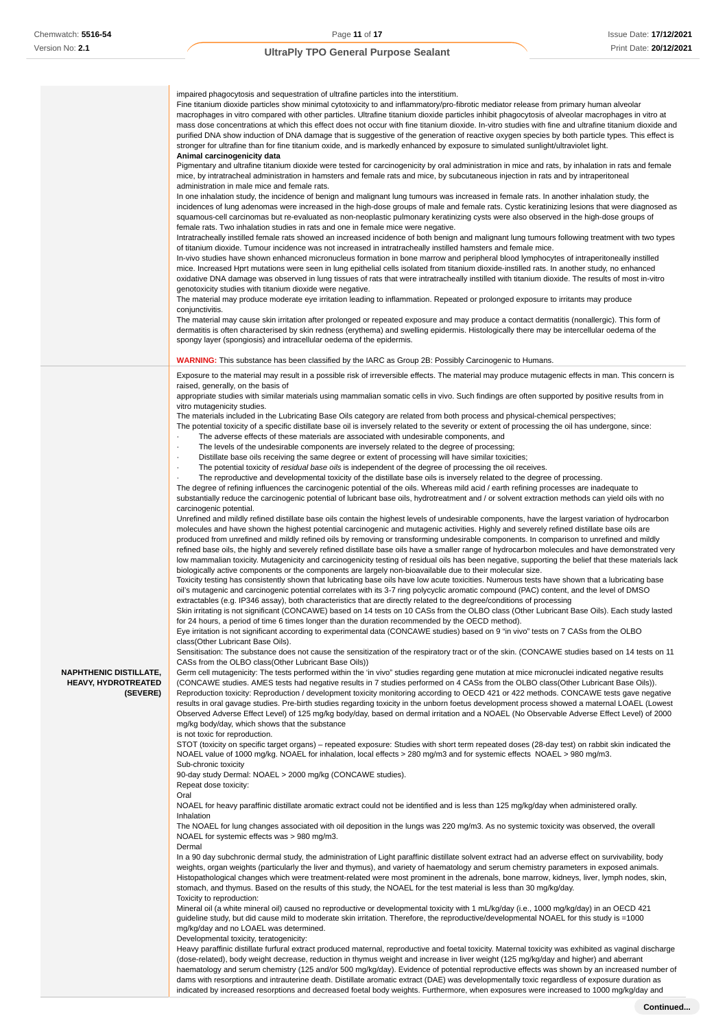|                                                                         | impaired phagocytosis and sequestration of ultrafine particles into the interstitium.<br>Fine titanium dioxide particles show minimal cytotoxicity to and inflammatory/pro-fibrotic mediator release from primary human alveolar<br>macrophages in vitro compared with other particles. Ultrafine titanium dioxide particles inhibit phagocytosis of alveolar macrophages in vitro at<br>mass dose concentrations at which this effect does not occur with fine titanium dioxide. In-vitro studies with fine and ultrafine titanium dioxide and<br>purified DNA show induction of DNA damage that is suggestive of the generation of reactive oxygen species by both particle types. This effect is<br>stronger for ultrafine than for fine titanium oxide, and is markedly enhanced by exposure to simulated sunlight/ultraviolet light.         |
|-------------------------------------------------------------------------|---------------------------------------------------------------------------------------------------------------------------------------------------------------------------------------------------------------------------------------------------------------------------------------------------------------------------------------------------------------------------------------------------------------------------------------------------------------------------------------------------------------------------------------------------------------------------------------------------------------------------------------------------------------------------------------------------------------------------------------------------------------------------------------------------------------------------------------------------|
|                                                                         | Animal carcinogenicity data<br>Pigmentary and ultrafine titanium dioxide were tested for carcinogenicity by oral administration in mice and rats, by inhalation in rats and female<br>mice, by intratracheal administration in hamsters and female rats and mice, by subcutaneous injection in rats and by intraperitoneal                                                                                                                                                                                                                                                                                                                                                                                                                                                                                                                        |
|                                                                         | administration in male mice and female rats.<br>In one inhalation study, the incidence of benign and malignant lung tumours was increased in female rats. In another inhalation study, the<br>incidences of lung adenomas were increased in the high-dose groups of male and female rats. Cystic keratinizing lesions that were diagnosed as<br>squamous-cell carcinomas but re-evaluated as non-neoplastic pulmonary keratinizing cysts were also observed in the high-dose groups of<br>female rats. Two inhalation studies in rats and one in female mice were negative.<br>Intratracheally instilled female rats showed an increased incidence of both benign and malignant lung tumours following treatment with two types<br>of titanium dioxide. Tumour incidence was not increased in intratracheally instilled hamsters and female mice. |
|                                                                         | In-vivo studies have shown enhanced micronucleus formation in bone marrow and peripheral blood lymphocytes of intraperitoneally instilled<br>mice. Increased Hprt mutations were seen in lung epithelial cells isolated from titanium dioxide-instilled rats. In another study, no enhanced<br>oxidative DNA damage was observed in lung tissues of rats that were intratracheally instilled with titanium dioxide. The results of most in-vitro                                                                                                                                                                                                                                                                                                                                                                                                  |
|                                                                         | genotoxicity studies with titanium dioxide were negative.<br>The material may produce moderate eye irritation leading to inflammation. Repeated or prolonged exposure to irritants may produce<br>conjunctivitis.                                                                                                                                                                                                                                                                                                                                                                                                                                                                                                                                                                                                                                 |
|                                                                         | The material may cause skin irritation after prolonged or repeated exposure and may produce a contact dermatitis (nonallergic). This form of<br>dermatitis is often characterised by skin redness (erythema) and swelling epidermis. Histologically there may be intercellular oedema of the<br>spongy layer (spongiosis) and intracellular oedema of the epidermis.                                                                                                                                                                                                                                                                                                                                                                                                                                                                              |
|                                                                         | <b>WARNING:</b> This substance has been classified by the IARC as Group 2B: Possibly Carcinogenic to Humans.                                                                                                                                                                                                                                                                                                                                                                                                                                                                                                                                                                                                                                                                                                                                      |
|                                                                         | Exposure to the material may result in a possible risk of irreversible effects. The material may produce mutagenic effects in man. This concern is<br>raised, generally, on the basis of                                                                                                                                                                                                                                                                                                                                                                                                                                                                                                                                                                                                                                                          |
|                                                                         | appropriate studies with similar materials using mammalian somatic cells in vivo. Such findings are often supported by positive results from in<br>vitro mutagenicity studies.                                                                                                                                                                                                                                                                                                                                                                                                                                                                                                                                                                                                                                                                    |
|                                                                         | The materials included in the Lubricating Base Oils category are related from both process and physical-chemical perspectives;<br>The potential toxicity of a specific distillate base oil is inversely related to the severity or extent of processing the oil has undergone, since:                                                                                                                                                                                                                                                                                                                                                                                                                                                                                                                                                             |
|                                                                         | The adverse effects of these materials are associated with undesirable components, and<br>$\cdot$<br>The levels of the undesirable components are inversely related to the degree of processing;                                                                                                                                                                                                                                                                                                                                                                                                                                                                                                                                                                                                                                                  |
|                                                                         | Distillate base oils receiving the same degree or extent of processing will have similar toxicities;<br>$\cdot$                                                                                                                                                                                                                                                                                                                                                                                                                                                                                                                                                                                                                                                                                                                                   |
|                                                                         | The potential toxicity of residual base oils is independent of the degree of processing the oil receives.<br>$\cdot$<br>The reproductive and developmental toxicity of the distillate base oils is inversely related to the degree of processing.                                                                                                                                                                                                                                                                                                                                                                                                                                                                                                                                                                                                 |
|                                                                         | The degree of refining influences the carcinogenic potential of the oils. Whereas mild acid / earth refining processes are inadequate to                                                                                                                                                                                                                                                                                                                                                                                                                                                                                                                                                                                                                                                                                                          |
|                                                                         | substantially reduce the carcinogenic potential of lubricant base oils, hydrotreatment and / or solvent extraction methods can yield oils with no                                                                                                                                                                                                                                                                                                                                                                                                                                                                                                                                                                                                                                                                                                 |
|                                                                         | carcinogenic potential.<br>Unrefined and mildly refined distillate base oils contain the highest levels of undesirable components, have the largest variation of hydrocarbon                                                                                                                                                                                                                                                                                                                                                                                                                                                                                                                                                                                                                                                                      |
|                                                                         | molecules and have shown the highest potential carcinogenic and mutagenic activities. Highly and severely refined distillate base oils are                                                                                                                                                                                                                                                                                                                                                                                                                                                                                                                                                                                                                                                                                                        |
|                                                                         | produced from unrefined and mildly refined oils by removing or transforming undesirable components. In comparison to unrefined and mildly<br>refined base oils, the highly and severely refined distillate base oils have a smaller range of hydrocarbon molecules and have demonstrated very                                                                                                                                                                                                                                                                                                                                                                                                                                                                                                                                                     |
|                                                                         | low mammalian toxicity. Mutagenicity and carcinogenicity testing of residual oils has been negative, supporting the belief that these materials lack                                                                                                                                                                                                                                                                                                                                                                                                                                                                                                                                                                                                                                                                                              |
|                                                                         | biologically active components or the components are largely non-bioavailable due to their molecular size.<br>Toxicity testing has consistently shown that lubricating base oils have low acute toxicities. Numerous tests have shown that a lubricating base                                                                                                                                                                                                                                                                                                                                                                                                                                                                                                                                                                                     |
|                                                                         | oil's mutagenic and carcinogenic potential correlates with its 3-7 ring polycyclic aromatic compound (PAC) content, and the level of DMSO                                                                                                                                                                                                                                                                                                                                                                                                                                                                                                                                                                                                                                                                                                         |
|                                                                         | extractables (e.g. IP346 assay), both characteristics that are directly related to the degree/conditions of processing<br>Skin irritating is not significant (CONCAWE) based on 14 tests on 10 CASs from the OLBO class (Other Lubricant Base Oils). Each study lasted                                                                                                                                                                                                                                                                                                                                                                                                                                                                                                                                                                            |
|                                                                         | for 24 hours, a period of time 6 times longer than the duration recommended by the OECD method).                                                                                                                                                                                                                                                                                                                                                                                                                                                                                                                                                                                                                                                                                                                                                  |
|                                                                         | Eye irritation is not significant according to experimental data (CONCAWE studies) based on 9 "in vivo" tests on 7 CASs from the OLBO<br>class (Other Lubricant Base Oils).                                                                                                                                                                                                                                                                                                                                                                                                                                                                                                                                                                                                                                                                       |
|                                                                         | Sensitisation: The substance does not cause the sensitization of the respiratory tract or of the skin. (CONCAWE studies based on 14 tests on 11                                                                                                                                                                                                                                                                                                                                                                                                                                                                                                                                                                                                                                                                                                   |
|                                                                         | CASs from the OLBO class(Other Lubricant Base Oils))                                                                                                                                                                                                                                                                                                                                                                                                                                                                                                                                                                                                                                                                                                                                                                                              |
| <b>NAPHTHENIC DISTILLATE,</b><br><b>HEAVY, HYDROTREATED</b><br>(SEVERE) | Germ cell mutagenicity: The tests performed within the 'in vivo" studies regarding gene mutation at mice micronuclei indicated negative results<br>(CONCAWE studies. AMES tests had negative results in 7 studies performed on 4 CASs from the OLBO class(Other Lubricant Base Oils)).<br>Reproduction toxicity: Reproduction / development toxicity monitoring according to OECD 421 or 422 methods. CONCAWE tests gave negative<br>results in oral gavage studies. Pre-birth studies regarding toxicity in the unborn foetus development process showed a maternal LOAEL (Lowest<br>Observed Adverse Effect Level) of 125 mg/kg body/day, based on dermal irritation and a NOAEL (No Observable Adverse Effect Level) of 2000<br>mg/kg body/day, which shows that the substance                                                                 |
|                                                                         | is not toxic for reproduction.<br>STOT (toxicity on specific target organs) – repeated exposure: Studies with short term repeated doses (28-day test) on rabbit skin indicated the                                                                                                                                                                                                                                                                                                                                                                                                                                                                                                                                                                                                                                                                |
|                                                                         | NOAEL value of 1000 mg/kg. NOAEL for inhalation, local effects > 280 mg/m3 and for systemic effects NOAEL > 980 mg/m3.<br>Sub-chronic toxicity                                                                                                                                                                                                                                                                                                                                                                                                                                                                                                                                                                                                                                                                                                    |
|                                                                         | 90-day study Dermal: NOAEL > 2000 mg/kg (CONCAWE studies).<br>Repeat dose toxicity:                                                                                                                                                                                                                                                                                                                                                                                                                                                                                                                                                                                                                                                                                                                                                               |
|                                                                         | Oral<br>NOAEL for heavy paraffinic distillate aromatic extract could not be identified and is less than 125 mg/kg/day when administered orally.<br>Inhalation                                                                                                                                                                                                                                                                                                                                                                                                                                                                                                                                                                                                                                                                                     |
|                                                                         | The NOAEL for lung changes associated with oil deposition in the lungs was 220 mg/m3. As no systemic toxicity was observed, the overall                                                                                                                                                                                                                                                                                                                                                                                                                                                                                                                                                                                                                                                                                                           |
|                                                                         | NOAEL for systemic effects was > 980 mg/m3.<br>Dermal                                                                                                                                                                                                                                                                                                                                                                                                                                                                                                                                                                                                                                                                                                                                                                                             |
|                                                                         | In a 90 day subchronic dermal study, the administration of Light paraffinic distillate solvent extract had an adverse effect on survivability, body<br>weights, organ weights (particularly the liver and thymus), and variety of haematology and serum chemistry parameters in exposed animals.<br>Histopathological changes which were treatment-related were most prominent in the adrenals, bone marrow, kidneys, liver, lymph nodes, skin,<br>stomach, and thymus. Based on the results of this study, the NOAEL for the test material is less than 30 mg/kg/day.                                                                                                                                                                                                                                                                            |
|                                                                         | Toxicity to reproduction:                                                                                                                                                                                                                                                                                                                                                                                                                                                                                                                                                                                                                                                                                                                                                                                                                         |
|                                                                         | Mineral oil (a white mineral oil) caused no reproductive or developmental toxicity with 1 mL/kg/day (i.e., 1000 mg/kg/day) in an OECD 421<br>guideline study, but did cause mild to moderate skin irritation. Therefore, the reproductive/developmental NOAEL for this study is =1000                                                                                                                                                                                                                                                                                                                                                                                                                                                                                                                                                             |
|                                                                         | mg/kg/day and no LOAEL was determined.<br>Developmental toxicity, teratogenicity:                                                                                                                                                                                                                                                                                                                                                                                                                                                                                                                                                                                                                                                                                                                                                                 |
|                                                                         | Heavy paraffinic distillate furfural extract produced maternal, reproductive and foetal toxicity. Maternal toxicity was exhibited as vaginal discharge                                                                                                                                                                                                                                                                                                                                                                                                                                                                                                                                                                                                                                                                                            |
|                                                                         | (dose-related), body weight decrease, reduction in thymus weight and increase in liver weight (125 mg/kg/day and higher) and aberrant<br>haematology and serum chemistry (125 and/or 500 mg/kg/day). Evidence of potential reproductive effects was shown by an increased number of<br>dams with resorptions and intrauterine death. Distillate aromatic extract (DAE) was developmentally toxic regardless of exposure duration as                                                                                                                                                                                                                                                                                                                                                                                                               |

indicated by increased resorptions and decreased foetal body weights. Furthermore, when exposures were increased to 1000 mg/kg/day and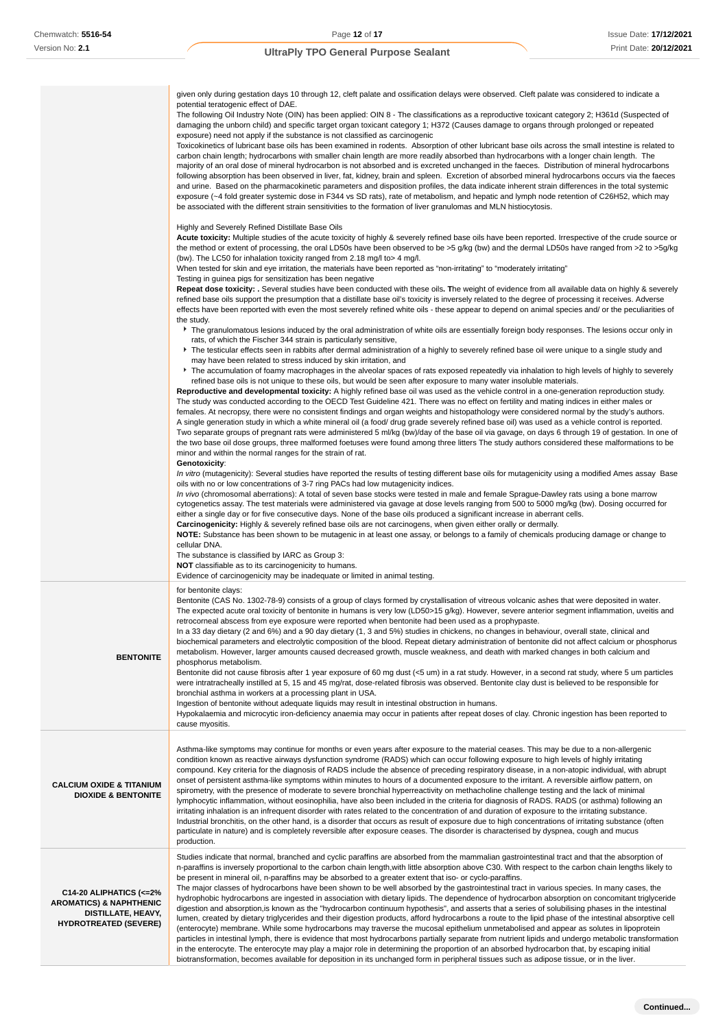given only during gestation days 10 through 12, cleft palate and ossification delays were observed. Cleft palate was considered to indicate a potential teratogenic effect of DAE. The following Oil Industry Note (OIN) has been applied: OIN 8 - The classifications as a reproductive toxicant category 2; H361d (Suspected of damaging the unborn child) and specific target organ toxicant category 1; H372 (Causes damage to organs through prolonged or repeated exposure) need not apply if the substance is not classified as carcinogenic Toxicokinetics of lubricant base oils has been examined in rodents. Absorption of other lubricant base oils across the small intestine is related to carbon chain length; hydrocarbons with smaller chain length are more readily absorbed than hydrocarbons with a longer chain length. The majority of an oral dose of mineral hydrocarbon is not absorbed and is excreted unchanged in the faeces. Distribution of mineral hydrocarbons following absorption has been observed in liver, fat, kidney, brain and spleen. Excretion of absorbed mineral hydrocarbons occurs via the faeces and urine. Based on the pharmacokinetic parameters and disposition profiles, the data indicate inherent strain differences in the total systemic exposure (~4 fold greater systemic dose in F344 vs SD rats), rate of metabolism, and hepatic and lymph node retention of C26H52, which may be associated with the different strain sensitivities to the formation of liver granulomas and MLN histiocytosis. Highly and Severely Refined Distillate Base Oils **Acute toxicity:** Multiple studies of the acute toxicity of highly & severely refined base oils have been reported. Irrespective of the crude source or the method or extent of processing, the oral LD50s have been observed to be >5 g/kg (bw) and the dermal LD50s have ranged from >2 to >5g/kg (bw). The LC50 for inhalation toxicity ranged from 2.18 mg/l to> 4 mg/l. When tested for skin and eye irritation, the materials have been reported as "non-irritating" to "moderately irritating" Testing in guinea pigs for sensitization has been negative Repeat dose toxicity: . Several studies have been conducted with these oils. The weight of evidence from all available data on highly & severely refined base oils support the presumption that a distillate base oil's toxicity is inversely related to the degree of processing it receives. Adverse effects have been reported with even the most severely refined white oils - these appear to depend on animal species and/ or the peculiarities of the study. The granulomatous lesions induced by the oral administration of white oils are essentially foreign body responses. The lesions occur only in rats, of which the Fischer 344 strain is particularly sensitive, The testicular effects seen in rabbits after dermal administration of a highly to severely refined base oil were unique to a single study and may have been related to stress induced by skin irritation, and The accumulation of foamy macrophages in the alveolar spaces of rats exposed repeatedly via inhalation to high levels of highly to severely refined base oils is not unique to these oils, but would be seen after exposure to many water insoluble materials. **Reproductive and developmental toxicity:** A highly refined base oil was used as the vehicle control in a one-generation reproduction study. The study was conducted according to the OECD Test Guideline 421. There was no effect on fertility and mating indices in either males or females. At necropsy, there were no consistent findings and organ weights and histopathology were considered normal by the study's authors. A single generation study in which a white mineral oil (a food/ drug grade severely refined base oil) was used as a vehicle control is reported. Two separate groups of pregnant rats were administered 5 ml/kg (bw)/day of the base oil via gavage, on days 6 through 19 of gestation. In one of the two base oil dose groups, three malformed foetuses were found among three litters The study authors considered these malformations to be minor and within the normal ranges for the strain of rat. **Genotoxicity**: In vitro (mutagenicity): Several studies have reported the results of testing different base oils for mutagenicity using a modified Ames assay Base oils with no or low concentrations of 3-7 ring PACs had low mutagenicity indices. In vivo (chromosomal aberrations): A total of seven base stocks were tested in male and female Sprague-Dawley rats using a bone marrow cytogenetics assay. The test materials were administered via gavage at dose levels ranging from 500 to 5000 mg/kg (bw). Dosing occurred for either a single day or for five consecutive days. None of the base oils produced a significant increase in aberrant cells. **Carcinogenicity:** Highly & severely refined base oils are not carcinogens, when given either orally or dermally. **NOTE:** Substance has been shown to be mutagenic in at least one assay, or belongs to a family of chemicals producing damage or change to cellular DNA. The substance is classified by IARC as Group 3: **NOT** classifiable as to its carcinogenicity to humans. Evidence of carcinogenicity may be inadequate or limited in animal testing. **BENTONITE** for bentonite clays: Bentonite (CAS No. 1302-78-9) consists of a group of clays formed by crystallisation of vitreous volcanic ashes that were deposited in water. The expected acute oral toxicity of bentonite in humans is very low (LD50>15 g/kg). However, severe anterior segment inflammation, uveitis and retrocorneal abscess from eye exposure were reported when bentonite had been used as a prophypaste. In a 33 day dietary (2 and 6%) and a 90 day dietary (1, 3 and 5%) studies in chickens, no changes in behaviour, overall state, clinical and biochemical parameters and electrolytic composition of the blood. Repeat dietary administration of bentonite did not affect calcium or phosphorus metabolism. However, larger amounts caused decreased growth, muscle weakness, and death with marked changes in both calcium and phosphorus metabolism. Bentonite did not cause fibrosis after 1 year exposure of 60 mg dust (<5 um) in a rat study. However, in a second rat study, where 5 um particles were intratracheally instilled at 5, 15 and 45 mg/rat, dose-related fibrosis was observed. Bentonite clay dust is believed to be responsible for bronchial asthma in workers at a processing plant in USA. Ingestion of bentonite without adequate liquids may result in intestinal obstruction in humans. Hypokalaemia and microcytic iron-deficiency anaemia may occur in patients after repeat doses of clay. Chronic ingestion has been reported to cause myositis. **CALCIUM OXIDE & TITANIUM DIOXIDE & BENTONITE** Asthma-like symptoms may continue for months or even years after exposure to the material ceases. This may be due to a non-allergenic condition known as reactive airways dysfunction syndrome (RADS) which can occur following exposure to high levels of highly irritating compound. Key criteria for the diagnosis of RADS include the absence of preceding respiratory disease, in a non-atopic individual, with abrupt onset of persistent asthma-like symptoms within minutes to hours of a documented exposure to the irritant. A reversible airflow pattern, on spirometry, with the presence of moderate to severe bronchial hyperreactivity on methacholine challenge testing and the lack of minimal lymphocytic inflammation, without eosinophilia, have also been included in the criteria for diagnosis of RADS. RADS (or asthma) following an irritating inhalation is an infrequent disorder with rates related to the concentration of and duration of exposure to the irritating substance. Industrial bronchitis, on the other hand, is a disorder that occurs as result of exposure due to high concentrations of irritating substance (often particulate in nature) and is completely reversible after exposure ceases. The disorder is characterised by dyspnea, cough and mucus production. **C14-20 ALIPHATICS (<=2% AROMATICS) & NAPHTHENIC** Studies indicate that normal, branched and cyclic paraffins are absorbed from the mammalian gastrointestinal tract and that the absorption of n-paraffins is inversely proportional to the carbon chain length,with little absorption above C30. With respect to the carbon chain lengths likely to be present in mineral oil, n-paraffins may be absorbed to a greater extent that iso- or cyclo-paraffins. The major classes of hydrocarbons have been shown to be well absorbed by the gastrointestinal tract in various species. In many cases, the hydrophobic hydrocarbons are ingested in association with dietary lipids. The dependence of hydrocarbon absorption on concomitant triglyceride digestion and absorption,is known as the "hydrocarbon continuum hypothesis", and asserts that a series of solubilising phases in the intestinal

**DISTILLATE, HEAVY, HYDROTREATED (SEVERE)**

lumen, created by dietary triglycerides and their digestion products, afford hydrocarbons a route to the lipid phase of the intestinal absorptive cell (enterocyte) membrane. While some hydrocarbons may traverse the mucosal epithelium unmetabolised and appear as solutes in lipoprotein particles in intestinal lymph, there is evidence that most hydrocarbons partially separate from nutrient lipids and undergo metabolic transformation in the enterocyte. The enterocyte may play a major role in determining the proportion of an absorbed hydrocarbon that, by escaping initial biotransformation, becomes available for deposition in its unchanged form in peripheral tissues such as adipose tissue, or in the liver.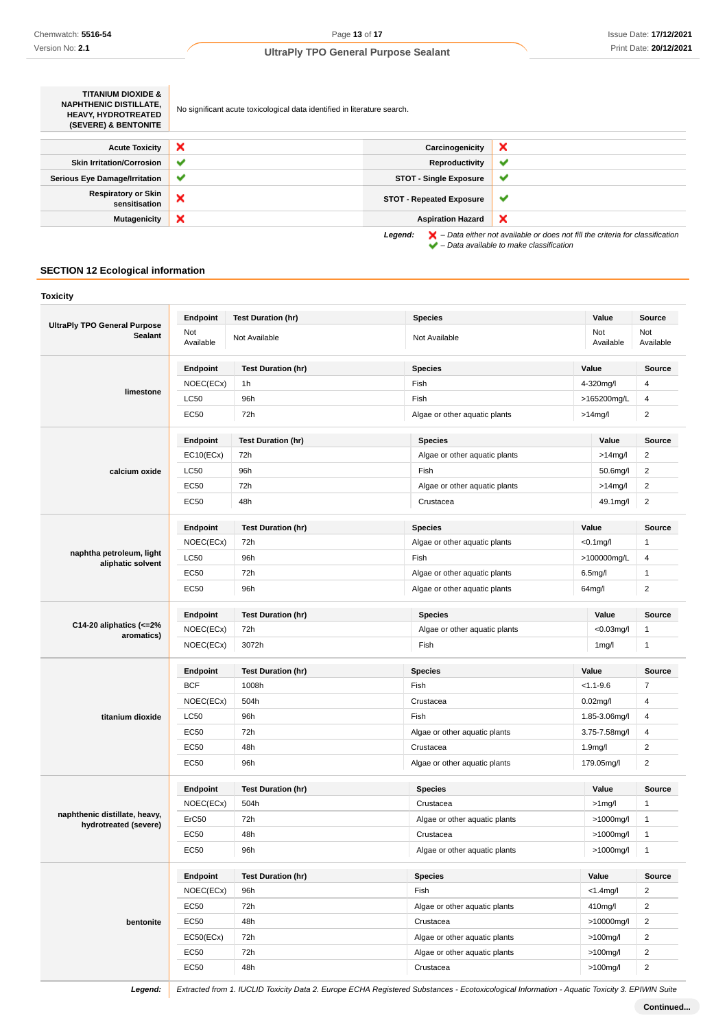| <b>TITANIUM DIOXIDE &amp;</b><br><b>NAPHTHENIC DISTILLATE.</b><br><b>HEAVY. HYDROTREATED</b><br>(SEVERE) & BENTONITE | No significant acute toxicological data identified in literature search. |                                 |                                                                                                    |
|----------------------------------------------------------------------------------------------------------------------|--------------------------------------------------------------------------|---------------------------------|----------------------------------------------------------------------------------------------------|
| <b>Acute Toxicity</b>                                                                                                | ×                                                                        | Carcinogenicity                 | ×                                                                                                  |
| <b>Skin Irritation/Corrosion</b>                                                                                     | $\checkmark$                                                             | Reproductivity                  | $\checkmark$                                                                                       |
| <b>Serious Eye Damage/Irritation</b>                                                                                 | ✔                                                                        | <b>STOT - Single Exposure</b>   | ✔                                                                                                  |
| <b>Respiratory or Skin</b><br>sensitisation                                                                          | ×                                                                        | <b>STOT - Repeated Exposure</b> | ✔                                                                                                  |
| <b>Mutagenicity</b>                                                                                                  | ×                                                                        | <b>Aspiration Hazard</b>        | ×                                                                                                  |
|                                                                                                                      |                                                                          | Legend:                         | $\blacktriangleright$ - Data either not available or does not fill the criteria for classification |

– Data available to make classification

## **SECTION 12 Ecological information**

| Toxicity                                              |                  |                           |                               |                      |                  |
|-------------------------------------------------------|------------------|---------------------------|-------------------------------|----------------------|------------------|
|                                                       | Endpoint         | <b>Test Duration (hr)</b> | <b>Species</b>                | Value                | <b>Source</b>    |
| <b>UltraPly TPO General Purpose</b><br><b>Sealant</b> | Not<br>Available | Not Available             | Not Available                 | Not<br>Available     | Not<br>Available |
|                                                       | Endpoint         | <b>Test Duration (hr)</b> | <b>Species</b>                | Value                |                  |
|                                                       | NOEC(ECx)        | 1h                        | Fish                          | 4-320mg/l            |                  |
| limestone                                             | <b>LC50</b>      | 96h                       | Fish                          | >165200mg/L          |                  |
|                                                       | EC50             | 72h                       | Algae or other aquatic plants | >14mg/l              | $\overline{2}$   |
|                                                       | Endpoint         | <b>Test Duration (hr)</b> | <b>Species</b>                | Value                | <b>Source</b>    |
|                                                       | EC10(ECx)        | 72h                       | Algae or other aquatic plants | $>14$ mg/l           | 2                |
| calcium oxide                                         | <b>LC50</b>      | 96h                       | Fish                          | 50.6mg/l             | 2                |
|                                                       | <b>EC50</b>      | 72h                       | Algae or other aquatic plants | $>14$ mg/l           | 2                |
|                                                       | <b>EC50</b>      | 48h                       | Crustacea                     | 49.1mg/l             | $\overline{2}$   |
|                                                       | Endpoint         | <b>Test Duration (hr)</b> | <b>Species</b>                | Value                | <b>Source</b>    |
|                                                       | NOEC(ECx)        | 72h                       | Algae or other aquatic plants | $<$ 0.1 $mg$ /l      | $\mathbf{1}$     |
| naphtha petroleum, light                              | LC50             | 96h                       | Fish                          | >100000mg/L          | 4                |
| aliphatic solvent                                     | <b>EC50</b>      | 72h                       | Algae or other aquatic plants | 6.5 <sub>m</sub> g/l | $\mathbf{1}$     |
|                                                       | EC50             | 96h                       | Algae or other aquatic plants | 64mg/l               | $\overline{2}$   |
|                                                       | Endpoint         | <b>Test Duration (hr)</b> | <b>Species</b>                | Value                |                  |
| C14-20 aliphatics $\left($ <= 2%                      | NOEC(ECx)        | 72h                       | Algae or other aquatic plants | $<$ 0.03mg/l         | $\mathbf{1}$     |
| aromatics)                                            | NOEC(ECx)        | 3072h                     | Fish                          | 1 <sub>mg</sub> /l   | $\mathbf{1}$     |
|                                                       | Endpoint         | <b>Test Duration (hr)</b> | <b>Species</b>                | Value                | <b>Source</b>    |
|                                                       | <b>BCF</b>       | 1008h                     | Fish                          | $< 1.1 - 9.6$        | 7                |
|                                                       | NOEC(ECx)        | 504h                      | Crustacea                     | $0.02$ mg/l          | 4                |
| titanium dioxide                                      | <b>LC50</b>      | 96h                       | Fish                          | 1.85-3.06mg/l        | 4                |
|                                                       | EC50             | 72h                       | Algae or other aquatic plants | 3.75-7.58mg/l        | 4                |
|                                                       | EC50             | 48h                       | Crustacea                     | 1.9mg/l              | $\overline{2}$   |
|                                                       | EC50             | 96h                       | Algae or other aquatic plants | 179.05mg/l           | $\overline{2}$   |
|                                                       | Endpoint         | <b>Test Duration (hr)</b> | <b>Species</b>                | Value                | Source           |
|                                                       | NOEC(ECx)        | 504h                      | Crustacea                     | $>1$ mg/l            | 1                |
| naphthenic distillate, heavy,                         | ErC50            | 72h                       | Algae or other aquatic plants | >1000mg/l            | $\mathbf{1}$     |
| hydrotreated (severe)                                 | <b>EC50</b>      | 48h                       | Crustacea                     | >1000mg/l            |                  |
|                                                       | EC50             | 96h                       | Algae or other aquatic plants | >1000mg/l            |                  |
|                                                       | Endpoint         | <b>Test Duration (hr)</b> | <b>Species</b>                | Value                | Source           |
|                                                       | NOEC(ECx)        | 96h                       | Fish                          | $<$ 1.4mg/l          | $\overline{2}$   |
|                                                       | EC50             | 72h                       | Algae or other aquatic plants | 410mg/l              | 2                |
| bentonite                                             | EC50             | 48h                       | Crustacea                     | >10000mg/l           | $\overline{2}$   |
|                                                       |                  | 72h                       | Algae or other aquatic plants | $>100$ mg/l          | $\overline{2}$   |
|                                                       | EC50(ECx)        |                           |                               |                      |                  |
|                                                       | EC50             | 72h                       | Algae or other aquatic plants | $>100$ mg/l          | $\overline{2}$   |
|                                                       | EC50             | 48h                       | Crustacea                     | $>100$ mg/l          | 2                |
|                                                       |                  |                           |                               |                      |                  |

Legend: Extracted from 1. IUCLID Toxicity Data 2. Europe ECHA Registered Substances - Ecotoxicological Information - Aquatic Toxicity 3. EPIWIN Suite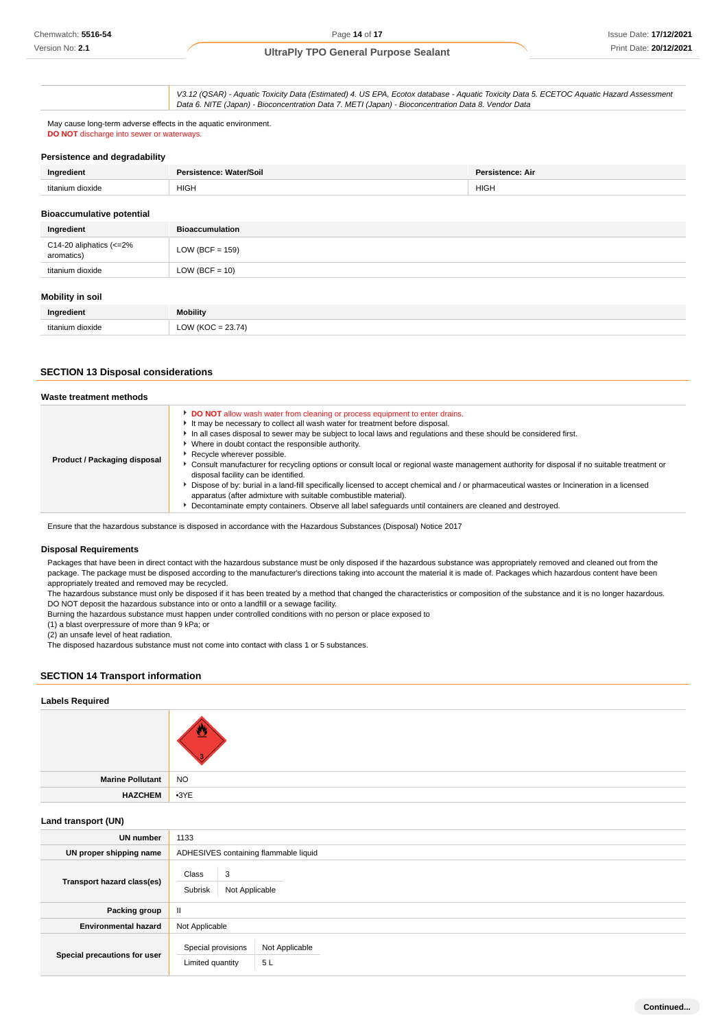V3.12 (QSAR) - Aquatic Toxicity Data (Estimated) 4. US EPA, Ecotox database - Aquatic Toxicity Data 5. ECETOC Aquatic Hazard Assessment Data 6. NITE (Japan) - Bioconcentration Data 7. METI (Japan) - Bioconcentration Data 8. Vendor Data

May cause long-term adverse effects in the aquatic environment. **DO NOT** discharge into sewer or waterways.

#### **Persistence and degradability**

| Ingredient                       | Persistence: Water/Soil | <b>Persistence: Air</b> |
|----------------------------------|-------------------------|-------------------------|
| titanium dioxide                 | <b>HIGH</b>             | <b>HIGH</b>             |
| <b>Bioaccumulative potential</b> |                         |                         |

| Ingredient                            | <b>Bioaccumulation</b> |
|---------------------------------------|------------------------|
| C14-20 aliphatics (<=2%<br>aromatics) | LOW (BCF = $159$ )     |
| titanium dioxide                      | LOW (BCF = $10$ )      |
| <b>Mobility in soil</b>               |                        |

| Ingredient       | <b>Mobility</b>             |
|------------------|-----------------------------|
| titanium dioxide | $= 23.74'$<br>LOW (KOC<br>. |

## **SECTION 13 Disposal considerations**

| Waste treatment methods      |                                                                                                                                                                                                                                                                                                                                                                                                                                                                                                                                                                                                                                                                                                                                                                                                                                                                                             |
|------------------------------|---------------------------------------------------------------------------------------------------------------------------------------------------------------------------------------------------------------------------------------------------------------------------------------------------------------------------------------------------------------------------------------------------------------------------------------------------------------------------------------------------------------------------------------------------------------------------------------------------------------------------------------------------------------------------------------------------------------------------------------------------------------------------------------------------------------------------------------------------------------------------------------------|
| Product / Packaging disposal | DO NOT allow wash water from cleaning or process equipment to enter drains.<br>It may be necessary to collect all wash water for treatment before disposal.<br>In all cases disposal to sewer may be subject to local laws and regulations and these should be considered first.<br>• Where in doubt contact the responsible authority.<br>Recycle wherever possible.<br>▶ Consult manufacturer for recycling options or consult local or regional waste management authority for disposal if no suitable treatment or<br>disposal facility can be identified.<br>Dispose of by: burial in a land-fill specifically licensed to accept chemical and / or pharmaceutical wastes or Incineration in a licensed<br>apparatus (after admixture with suitable combustible material).<br>Decontaminate empty containers. Observe all label safeguards until containers are cleaned and destroyed. |

Ensure that the hazardous substance is disposed in accordance with the Hazardous Substances (Disposal) Notice 2017

#### **Disposal Requirements**

Packages that have been in direct contact with the hazardous substance must be only disposed if the hazardous substance was appropriately removed and cleaned out from the package. The package must be disposed according to the manufacturer's directions taking into account the material it is made of. Packages which hazardous content have been appropriately treated and removed may be recycled.

The hazardous substance must only be disposed if it has been treated by a method that changed the characteristics or composition of the substance and it is no longer hazardous. DO NOT deposit the hazardous substance into or onto a landfill or a sewage facility.

Burning the hazardous substance must happen under controlled conditions with no person or place exposed to

(1) a blast overpressure of more than 9 kPa; or

(2) an unsafe level of heat radiation.

The disposed hazardous substance must not come into contact with class 1 or 5 substances.

#### **SECTION 14 Transport information**

#### **Labels Required**

| Marine Pollutant   NO |  |
|-----------------------|--|
| HAZCHEM 3YE           |  |
|                       |  |

#### **Land transport (UN)**

| UN number                    | 1133                                    |                                       |  |  |
|------------------------------|-----------------------------------------|---------------------------------------|--|--|
| UN proper shipping name      |                                         | ADHESIVES containing flammable liquid |  |  |
| Transport hazard class(es)   | 3<br>Class<br>Subrisk<br>Not Applicable |                                       |  |  |
| Packing group                | Ш.                                      |                                       |  |  |
| <b>Environmental hazard</b>  | Not Applicable                          |                                       |  |  |
| Special precautions for user | Special provisions<br>Limited quantity  | Not Applicable<br>5L                  |  |  |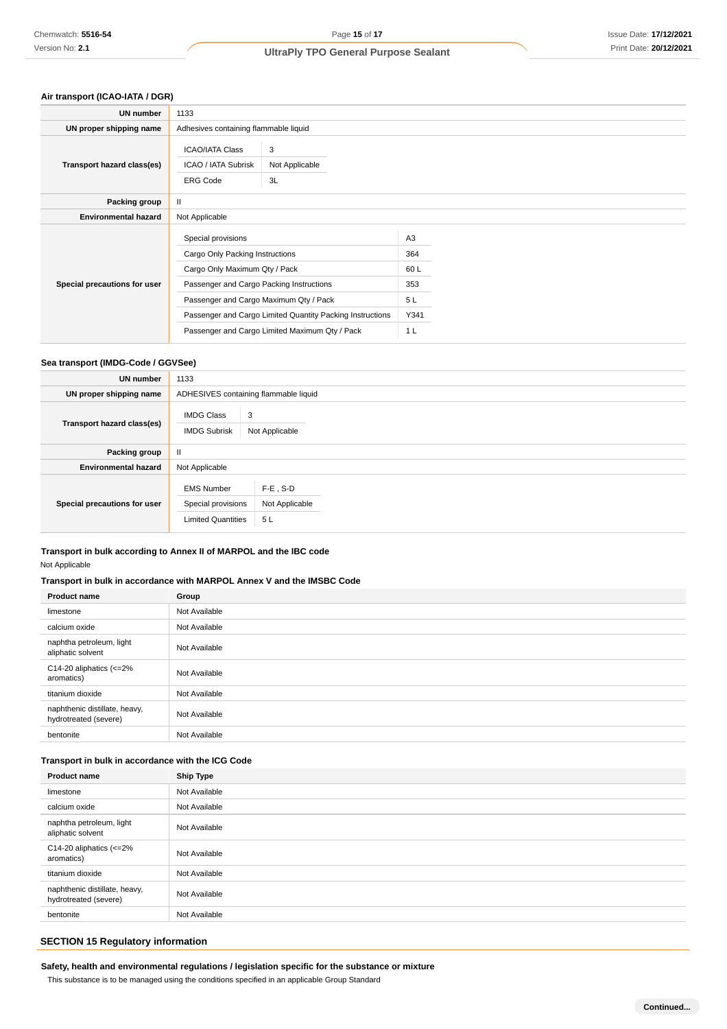## **Air transport (ICAO-IATA / DGR)**

| UN number                    | 1133                                                                                                                                                                         |                                                                                                             |                                                          |  |
|------------------------------|------------------------------------------------------------------------------------------------------------------------------------------------------------------------------|-------------------------------------------------------------------------------------------------------------|----------------------------------------------------------|--|
| UN proper shipping name      | Adhesives containing flammable liquid                                                                                                                                        |                                                                                                             |                                                          |  |
| Transport hazard class(es)   | <b>ICAO/IATA Class</b><br>ICAO / IATA Subrisk<br><b>ERG Code</b>                                                                                                             | 3<br>Not Applicable<br>3L                                                                                   |                                                          |  |
| Packing group                | Ш                                                                                                                                                                            |                                                                                                             |                                                          |  |
| <b>Environmental hazard</b>  | Not Applicable                                                                                                                                                               |                                                                                                             |                                                          |  |
| Special precautions for user | Special provisions<br>Cargo Only Packing Instructions<br>Cargo Only Maximum Qty / Pack<br>Passenger and Cargo Packing Instructions<br>Passenger and Cargo Maximum Qty / Pack | Passenger and Cargo Limited Quantity Packing Instructions<br>Passenger and Cargo Limited Maximum Qty / Pack | A3<br>364<br>60 L<br>353<br>5L<br>Y341<br>1 <sub>L</sub> |  |

## **Sea transport (IMDG-Code / GGVSee)**

| UN number                    | 1133                                                                 |                                       |
|------------------------------|----------------------------------------------------------------------|---------------------------------------|
| UN proper shipping name      |                                                                      | ADHESIVES containing flammable liquid |
| Transport hazard class(es)   | <b>IMDG Class</b><br><b>IMDG Subrisk</b>                             | 3<br>Not Applicable                   |
| Packing group                | Ш                                                                    |                                       |
| <b>Environmental hazard</b>  | Not Applicable                                                       |                                       |
| Special precautions for user | <b>EMS Number</b><br>Special provisions<br><b>Limited Quantities</b> | $F-E$ , S-D<br>Not Applicable<br>5L   |

## **Transport in bulk according to Annex II of MARPOL and the IBC code**

Not Applicable

## **Transport in bulk in accordance with MARPOL Annex V and the IMSBC Code**

| <b>Product name</b>                                      | Group         |
|----------------------------------------------------------|---------------|
| limestone                                                | Not Available |
| calcium oxide                                            | Not Available |
| naphtha petroleum, light<br>aliphatic solvent            | Not Available |
| C14-20 aliphatics $\left  \right  < = 2\%$<br>aromatics) | Not Available |
| titanium dioxide                                         | Not Available |
| naphthenic distillate, heavy,<br>hydrotreated (severe)   | Not Available |
| bentonite                                                | Not Available |

## **Transport in bulk in accordance with the ICG Code**

| <b>Product name</b>                                      | <b>Ship Type</b> |
|----------------------------------------------------------|------------------|
| limestone                                                | Not Available    |
| calcium oxide                                            | Not Available    |
| naphtha petroleum, light<br>aliphatic solvent            | Not Available    |
| C14-20 aliphatics $\left  \right  < = 2\%$<br>aromatics) | Not Available    |
| titanium dioxide                                         | Not Available    |
| naphthenic distillate, heavy,<br>hydrotreated (severe)   | Not Available    |
| bentonite                                                | Not Available    |

# **SECTION 15 Regulatory information**

**Safety, health and environmental regulations / legislation specific for the substance or mixture**

This substance is to be managed using the conditions specified in an applicable Group Standard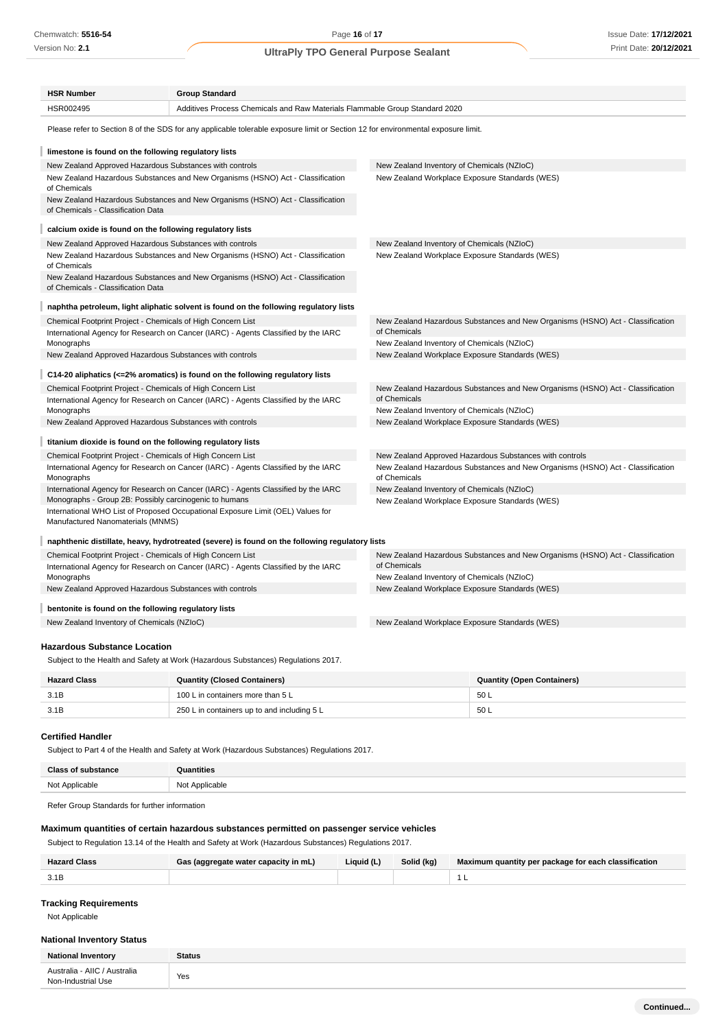Version No: **2.1**

Page **16** of **17**

# **UltraPly TPO General Purpose Sealant**

| <b>HSR Number</b>                                                                                                                | <b>Group Standard</b>                                                                          |                                                                                                                                           |  |  |
|----------------------------------------------------------------------------------------------------------------------------------|------------------------------------------------------------------------------------------------|-------------------------------------------------------------------------------------------------------------------------------------------|--|--|
| HSR002495                                                                                                                        | Additives Process Chemicals and Raw Materials Flammable Group Standard 2020                    |                                                                                                                                           |  |  |
| Please refer to Section 8 of the SDS for any applicable tolerable exposure limit or Section 12 for environmental exposure limit. |                                                                                                |                                                                                                                                           |  |  |
| limestone is found on the following regulatory lists                                                                             |                                                                                                |                                                                                                                                           |  |  |
| New Zealand Approved Hazardous Substances with controls                                                                          |                                                                                                | New Zealand Inventory of Chemicals (NZIoC)                                                                                                |  |  |
| of Chemicals                                                                                                                     | New Zealand Hazardous Substances and New Organisms (HSNO) Act - Classification                 | New Zealand Workplace Exposure Standards (WES)                                                                                            |  |  |
| of Chemicals - Classification Data                                                                                               | New Zealand Hazardous Substances and New Organisms (HSNO) Act - Classification                 |                                                                                                                                           |  |  |
| calcium oxide is found on the following regulatory lists                                                                         |                                                                                                |                                                                                                                                           |  |  |
| New Zealand Approved Hazardous Substances with controls                                                                          |                                                                                                | New Zealand Inventory of Chemicals (NZIoC)                                                                                                |  |  |
| of Chemicals                                                                                                                     | New Zealand Hazardous Substances and New Organisms (HSNO) Act - Classification                 | New Zealand Workplace Exposure Standards (WES)                                                                                            |  |  |
| of Chemicals - Classification Data                                                                                               | New Zealand Hazardous Substances and New Organisms (HSNO) Act - Classification                 |                                                                                                                                           |  |  |
|                                                                                                                                  | naphtha petroleum, light aliphatic solvent is found on the following regulatory lists          |                                                                                                                                           |  |  |
| Chemical Footprint Project - Chemicals of High Concern List                                                                      |                                                                                                | New Zealand Hazardous Substances and New Organisms (HSNO) Act - Classification                                                            |  |  |
| International Agency for Research on Cancer (IARC) - Agents Classified by the IARC                                               |                                                                                                | of Chemicals                                                                                                                              |  |  |
| Monographs                                                                                                                       |                                                                                                | New Zealand Inventory of Chemicals (NZIoC)                                                                                                |  |  |
| New Zealand Approved Hazardous Substances with controls                                                                          |                                                                                                | New Zealand Workplace Exposure Standards (WES)                                                                                            |  |  |
|                                                                                                                                  | C14-20 aliphatics ( $\epsilon$ =2% aromatics) is found on the following regulatory lists       |                                                                                                                                           |  |  |
| Chemical Footprint Project - Chemicals of High Concern List                                                                      |                                                                                                | New Zealand Hazardous Substances and New Organisms (HSNO) Act - Classification                                                            |  |  |
| International Agency for Research on Cancer (IARC) - Agents Classified by the IARC<br>Monographs                                 |                                                                                                | of Chemicals<br>New Zealand Inventory of Chemicals (NZIoC)                                                                                |  |  |
| New Zealand Approved Hazardous Substances with controls                                                                          |                                                                                                | New Zealand Workplace Exposure Standards (WES)                                                                                            |  |  |
| titanium dioxide is found on the following regulatory lists                                                                      |                                                                                                |                                                                                                                                           |  |  |
|                                                                                                                                  |                                                                                                |                                                                                                                                           |  |  |
| Chemical Footprint Project - Chemicals of High Concern List                                                                      |                                                                                                | New Zealand Approved Hazardous Substances with controls<br>New Zealand Hazardous Substances and New Organisms (HSNO) Act - Classification |  |  |
| International Agency for Research on Cancer (IARC) - Agents Classified by the IARC<br>Monographs                                 |                                                                                                | of Chemicals                                                                                                                              |  |  |
| Monographs - Group 2B: Possibly carcinogenic to humans                                                                           | International Agency for Research on Cancer (IARC) - Agents Classified by the IARC             | New Zealand Inventory of Chemicals (NZIoC)<br>New Zealand Workplace Exposure Standards (WES)                                              |  |  |
| Manufactured Nanomaterials (MNMS)                                                                                                | International WHO List of Proposed Occupational Exposure Limit (OEL) Values for                |                                                                                                                                           |  |  |
|                                                                                                                                  | naphthenic distillate, heavy, hydrotreated (severe) is found on the following regulatory lists |                                                                                                                                           |  |  |
| Chemical Footprint Project - Chemicals of High Concern List                                                                      |                                                                                                | New Zealand Hazardous Substances and New Organisms (HSNO) Act - Classification                                                            |  |  |
| International Agency for Research on Cancer (IARC) - Agents Classified by the IARC                                               |                                                                                                | of Chemicals                                                                                                                              |  |  |
| Monographs<br>New Zealand Approved Hazardous Substances with controls                                                            |                                                                                                | New Zealand Inventory of Chemicals (NZIoC)<br>New Zealand Workplace Exposure Standards (WES)                                              |  |  |
| bentonite is found on the following regulatory lists                                                                             |                                                                                                |                                                                                                                                           |  |  |
| New Zealand Inventory of Chemicals (NZIoC)                                                                                       |                                                                                                | New Zealand Workplace Exposure Standards (WES)                                                                                            |  |  |
|                                                                                                                                  |                                                                                                |                                                                                                                                           |  |  |
| <b>Hazardous Substance Location</b>                                                                                              |                                                                                                |                                                                                                                                           |  |  |
|                                                                                                                                  | Subject to the Health and Safety at Work (Hazardous Substances) Regulations 2017.              |                                                                                                                                           |  |  |
| <b>Hazard Class</b>                                                                                                              | <b>Quantity (Closed Containers)</b>                                                            | <b>Quantity (Open Containers)</b>                                                                                                         |  |  |

**Certified Handler**

Subject to Part 4 of the Health and Safety at Work (Hazardous Substances) Regulations 2017.

| Class<br>substance | Quantities     |
|--------------------|----------------|
| Not Applicable     | Not Applicable |

Refer Group Standards for further information

#### **Maximum quantities of certain hazardous substances permitted on passenger service vehicles**

3.1B 100 L in containers more than 5 L 50 L 3.1B 250 L in containers up to and including 5 L

Subject to Regulation 13.14 of the Health and Safety at Work (Hazardous Substances) Regulations 2017.

| <b>Hazard Class</b> | Gas (aggregate water capacity in mL) | Liquid (L) | Solid (kg) | Maximum quantity per package for each classification |
|---------------------|--------------------------------------|------------|------------|------------------------------------------------------|
|                     |                                      |            |            |                                                      |

# **Tracking Requirements**

Not Applicable

#### **National Inventory Status**

| <b>National Inventory</b>                          | <b>Status</b> |
|----------------------------------------------------|---------------|
| Australia - AIIC / Australia<br>Non-Industrial Use | Yes           |